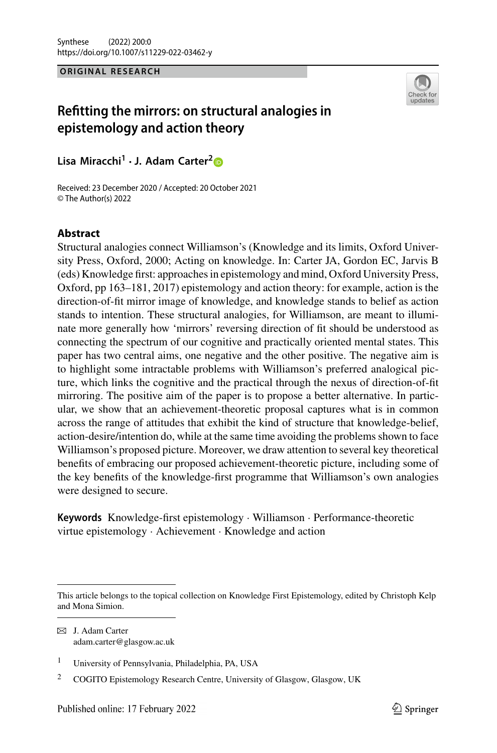#### **ORIGINAL RESEARCH**



# **Refitting the mirrors: on structural analogies in epistemology and action theory**

**Lisa Miracchi1 · J. Adam Carter[2](http://orcid.org/0000-0002-1222-8331)**

Received: 23 December 2020 / Accepted: 20 October 2021 © The Author(s) 2022

## **Abstract**

Structural analogies connect Williamson's (Knowledge and its limits, Oxford University Press, Oxford, 2000; Acting on knowledge. In: Carter JA, Gordon EC, Jarvis B (eds) Knowledge first: approaches in epistemology and mind, Oxford University Press, Oxford, pp 163–181, 2017) epistemology and action theory: for example, action is the direction-of-fit mirror image of knowledge, and knowledge stands to belief as action stands to intention. These structural analogies, for Williamson, are meant to illuminate more generally how 'mirrors' reversing direction of fit should be understood as connecting the spectrum of our cognitive and practically oriented mental states. This paper has two central aims, one negative and the other positive. The negative aim is to highlight some intractable problems with Williamson's preferred analogical picture, which links the cognitive and the practical through the nexus of direction-of-fit mirroring. The positive aim of the paper is to propose a better alternative. In particular, we show that an achievement-theoretic proposal captures what is in common across the range of attitudes that exhibit the kind of structure that knowledge-belief, action-desire/intention do, while at the same time avoiding the problems shown to face Williamson's proposed picture. Moreover, we draw attention to several key theoretical benefits of embracing our proposed achievement-theoretic picture, including some of the key benefits of the knowledge-first programme that Williamson's own analogies were designed to secure.

**Keywords** Knowledge-first epistemology · Williamson · Performance-theoretic virtue epistemology · Achievement · Knowledge and action

 $\boxtimes$  J. Adam Carter adam.carter@glasgow.ac.uk

This article belongs to the topical collection on Knowledge First Epistemology, edited by Christoph Kelp and Mona Simion.

<sup>1</sup> University of Pennsylvania, Philadelphia, PA, USA

<sup>&</sup>lt;sup>2</sup> COGITO Epistemology Research Centre, University of Glasgow, Glasgow, UK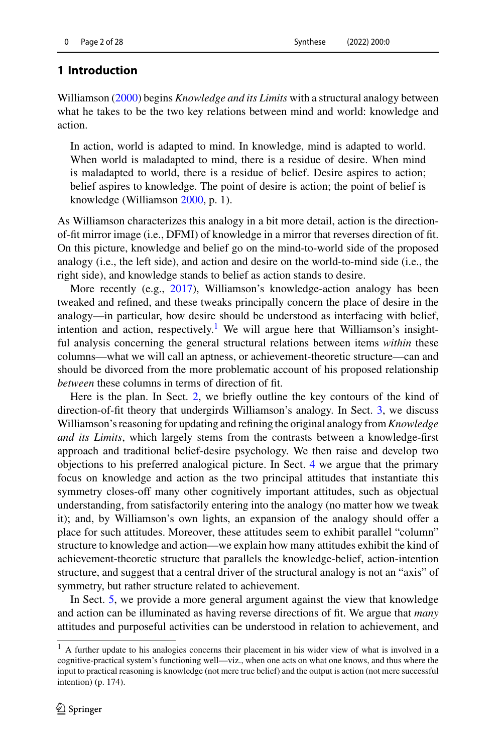## **1 Introduction**

Williamso[n](#page-27-0) [\(2000\)](#page-27-0) begins *Knowledge and its Limits* with a structural analogy between what he takes to be the two key relations between mind and world: knowledge and action.

In action, world is adapted to mind. In knowledge, mind is adapted to world. When world is maladapted to mind, there is a residue of desire. When mind is maladapted to world, there is a residue of belief. Desire aspires to action; belief aspires to knowledge. The point of desire is action; the point of belief is knowledge (Williamso[n](#page-27-0) [2000,](#page-27-0) p. 1).

As Williamson characterizes this analogy in a bit more detail, action is the directionof-fit mirror image (i.e., DFMI) of knowledge in a mirror that reverses direction of fit. On this picture, knowledge and belief go on the mind-to-world side of the proposed analogy (i.e., the left side), and action and desire on the world-to-mind side (i.e., the right side), and knowledge stands to belief as action stands to desire.

More recently (e.g., [2017](#page-27-1)), Williamson's knowledge-action analogy has been tweaked and refined, and these tweaks principally concern the place of desire in the analogy—in particular, how desire should be understood as interfacing with belief, intention and action, respectively.<sup>[1](#page-1-0)</sup> We will argue here that Williamson's insightful analysis concerning the general structural relations between items *within* these columns—what we will call an aptness, or achievement-theoretic structure—can and should be divorced from the more problematic account of his proposed relationship *between* these columns in terms of direction of fit.

Here is the plan. In Sect. [2,](#page-2-0) we briefly outline the key contours of the kind of direction-of-fit theory that undergirds Williamson's analogy. In Sect. [3,](#page-4-0) we discuss Williamson's reasoning for updating and refining the original analogy from*Knowledge and its Limits*, which largely stems from the contrasts between a knowledge-first approach and traditional belief-desire psychology. We then raise and develop two objections to his preferred analogical picture. In Sect. [4](#page-8-0) we argue that the primary focus on knowledge and action as the two principal attitudes that instantiate this symmetry closes-off many other cognitively important attitudes, such as objectual understanding, from satisfactorily entering into the analogy (no matter how we tweak it); and, by Williamson's own lights, an expansion of the analogy should offer a place for such attitudes. Moreover, these attitudes seem to exhibit parallel "column" structure to knowledge and action—we explain how many attitudes exhibit the kind of achievement-theoretic structure that parallels the knowledge-belief, action-intention structure, and suggest that a central driver of the structural analogy is not an "axis" of symmetry, but rather structure related to achievement.

In Sect. [5,](#page-19-0) we provide a more general argument against the view that knowledge and action can be illuminated as having reverse directions of fit. We argue that *many* attitudes and purposeful activities can be understood in relation to achievement, and

<span id="page-1-0"></span><sup>&</sup>lt;sup>1</sup> A further update to his analogies concerns their placement in his wider view of what is involved in a cognitive-practical system's functioning well—viz., when one acts on what one knows, and thus where the input to practical reasoning is knowledge (not mere true belief) and the output is action (not mere successful intention) (p. 174).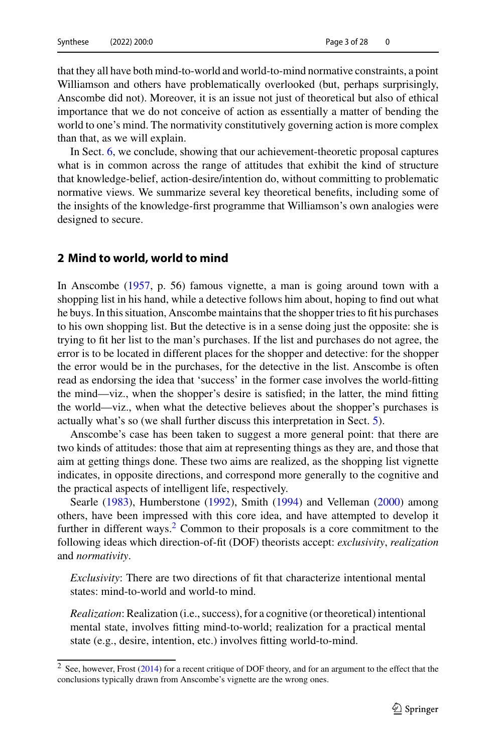that they all have both mind-to-world and world-to-mind normative constraints, a point Williamson and others have problematically overlooked (but, perhaps surprisingly, Anscombe did not). Moreover, it is an issue not just of theoretical but also of ethical importance that we do not conceive of action as essentially a matter of bending the world to one's mind. The normativity constitutively governing action is more complex than that, as we will explain.

In Sect. [6,](#page-24-0) we conclude, showing that our achievement-theoretic proposal captures what is in common across the range of attitudes that exhibit the kind of structure that knowledge-belief, action-desire/intention do, without committing to problematic normative views. We summarize several key theoretical benefits, including some of the insights of the knowledge-first programme that Williamson's own analogies were designed to secure.

#### <span id="page-2-0"></span>**2 Mind to world, world to mind**

In Anscombe [\(1957,](#page-26-0) p. 56) famous vignette, a man is going around town with a shopping list in his hand, while a detective follows him about, hoping to find out what he buys. In this situation, Anscombe maintains that the shopper tries to fit his purchases to his own shopping list. But the detective is in a sense doing just the opposite: she is trying to fit her list to the man's purchases. If the list and purchases do not agree, the error is to be located in different places for the shopper and detective: for the shopper the error would be in the purchases, for the detective in the list. Anscombe is often read as endorsing the idea that 'success' in the former case involves the world-fitting the mind—viz., when the shopper's desire is satisfied; in the latter, the mind fitting the world—viz., when what the detective believes about the shopper's purchases is actually what's so (we shall further discuss this interpretation in Sect. [5\)](#page-19-0).

Anscombe's case has been taken to suggest a more general point: that there are two kinds of attitudes: those that aim at representing things as they are, and those that aim at getting things done. These two aims are realized, as the shopping list vignette indicates, in opposite directions, and correspond more generally to the cognitive and the practical aspects of intelligent life, respectively.

Searl[e](#page-27-2) [\(1983\)](#page-27-2), Humberston[e](#page-26-1) [\(1992](#page-26-1)), Smit[h](#page-27-3) [\(1994](#page-27-3)) and Vellema[n](#page-27-4) [\(2000\)](#page-27-4) among others, have been impressed with this core idea, and have attempted to develop it further in different ways. $2$  Common to their proposals is a core commitment to the following ideas which direction-of-fit (DOF) theorists accept: *exclusivity*, *realization* and *normativity*.

*Exclusivity*: There are two directions of fit that characterize intentional mental states: mind-to-world and world-to mind.

*Realization*: Realization (i.e., success), for a cognitive (or theoretical) intentional mental state, involves fitting mind-to-world; realization for a practical mental state (e.g., desire, intention, etc.) involves fitting world-to-mind.

<span id="page-2-1"></span> $\frac{2}{2}$  See, however, Fros[t](#page-26-2) [\(2014](#page-26-2)) for a recent critique of DOF theory, and for an argument to the effect that the conclusions typically drawn from Anscombe's vignette are the wrong ones.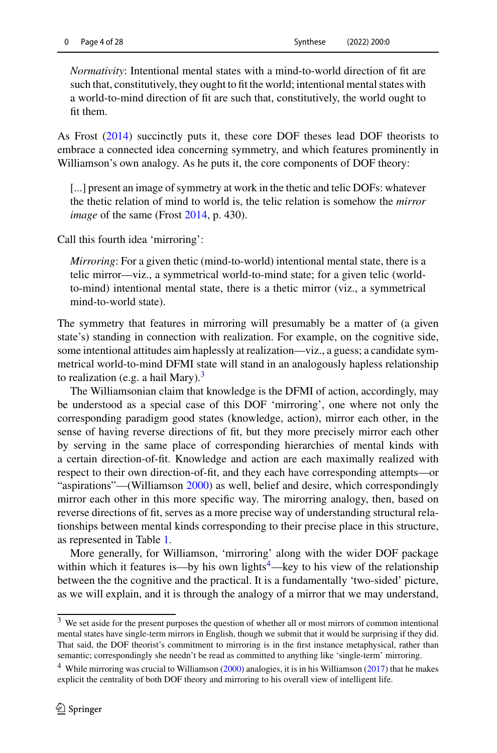*Normativity*: Intentional mental states with a mind-to-world direction of fit are such that, constitutively, they ought to fit the world; intentional mental states with a world-to-mind direction of fit are such that, constitutively, the world ought to fit them.

As Fros[t](#page-26-2) [\(2014\)](#page-26-2) succinctly puts it, these core DOF theses lead DOF theorists to embrace a connected idea concerning symmetry, and which features prominently in Williamson's own analogy. As he puts it, the core components of DOF theory:

[...] present an image of symmetry at work in the thetic and telic DOFs: whatever the thetic relation of mind to world is, the telic relation is somehow the *mirror image* of the same (Fros[t](#page-26-2) [2014](#page-26-2), p. 430).

Call this fourth idea 'mirroring':

*Mirroring*: For a given thetic (mind-to-world) intentional mental state, there is a telic mirror—viz., a symmetrical world-to-mind state; for a given telic (worldto-mind) intentional mental state, there is a thetic mirror (viz., a symmetrical mind-to-world state).

The symmetry that features in mirroring will presumably be a matter of (a given state's) standing in connection with realization. For example, on the cognitive side, some intentional attitudes aim haplessly at realization—viz., a guess; a candidate symmetrical world-to-mind DFMI state will stand in an analogously hapless relationship to realization (e.g. a hail Mary).<sup>[3](#page-3-0)</sup>

The Williamsonian claim that knowledge is the DFMI of action, accordingly, may be understood as a special case of this DOF 'mirroring', one where not only the corresponding paradigm good states (knowledge, action), mirror each other, in the sense of having reverse directions of fit, but they more precisely mirror each other by serving in the same place of corresponding hierarchies of mental kinds with a certain direction-of-fit. Knowledge and action are each maximally realized with respect to their own direction-of-fit, and they each have corresponding attempts—or "aspirations"—(Williamso[n](#page-27-0) [2000\)](#page-27-0) as well, belief and desire, which correspondingly mirror each other in this more specific way. The mirorring analogy, then, based on reverse directions of fit, serves as a more precise way of understanding structural relationships between mental kinds corresponding to their precise place in this structure, as represented in Table [1.](#page-4-1)

More generally, for Williamson, 'mirroring' along with the wider DOF package within which it features is—by his own lights $4$ —key to his view of the relationship between the the cognitive and the practical. It is a fundamentally 'two-sided' picture, as we will explain, and it is through the analogy of a mirror that we may understand,

<span id="page-3-0"></span><sup>&</sup>lt;sup>3</sup> We set aside for the present purposes the question of whether all or most mirrors of common intentional mental states have single-term mirrors in English, though we submit that it would be surprising if they did. That said, the DOF theorist's commitment to mirroring is in the first instance metaphysical, rather than semantic; correspondingly she needn't be read as committed to anything like 'single-term' mirroring.

<span id="page-3-1"></span><sup>&</sup>lt;sup>4</sup> While mirrori[n](#page-27-1)g was crucial to Williamson [\(2000](#page-27-0)) analogies, it is in his Williamson [\(2017\)](#page-27-1) that he makes explicit the centrality of both DOF theory and mirroring to his overall view of intelligent life.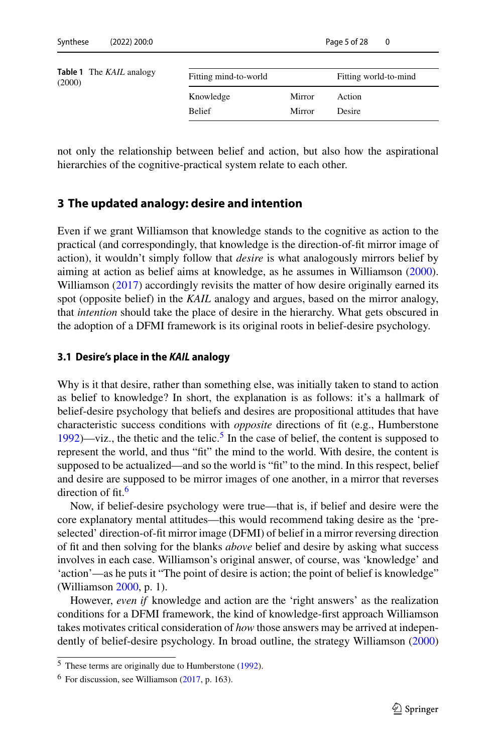<span id="page-4-1"></span>

| <b>Table 1</b> The <i>KAIL</i> analogy<br>(2000) | Fitting mind-to-world |        | Fitting world-to-mind |
|--------------------------------------------------|-----------------------|--------|-----------------------|
|                                                  | Knowledge             | Mirror | Action                |
|                                                  | <b>Belief</b>         | Mirror | Desire                |

not only the relationship between belief and action, but also how the aspirational hierarchies of the cognitive-practical system relate to each other.

## <span id="page-4-0"></span>**3 The updated analogy: desire and intention**

Even if we grant Williamson that knowledge stands to the cognitive as action to the practical (and correspondingly, that knowledge is the direction-of-fit mirror image of action), it wouldn't simply follow that *desire* is what analogously mirrors belief by aiming at action as belief aims at knowledge, as he assumes in Williamso[n](#page-27-0) [\(2000](#page-27-0)). Williamso[n](#page-27-1) [\(2017\)](#page-27-1) accordingly revisits the matter of how desire originally earned its spot (opposite belief) in the *KAIL* analogy and argues, based on the mirror analogy, that *intention* should take the place of desire in the hierarchy. What gets obscured in the adoption of a DFMI framework is its original roots in belief-desire psychology.

#### **3.1 Desire's place in the** *KAIL* **analogy**

Why is it that desire, rather than something else, was initially taken to stand to action as belief to knowledge? In short, the explanation is as follows: it's a hallmark of belief-desire psychology that beliefs and desires are propositional attitudes that have characteristic success conditions with *opposite* directions of fit (e.g., Humberstone [1992\)](#page-26-1)—viz., the thetic and the telic.<sup>[5](#page-4-2)</sup> In the case of belief, the content is supposed to represent the world, and thus "fit" the mind to the world. With desire, the content is supposed to be actualized—and so the world is "fit" to the mind. In this respect, belief and desire are supposed to be mirror images of one another, in a mirror that reverses direction of fit.<sup>6</sup>

Now, if belief-desire psychology were true—that is, if belief and desire were the core explanatory mental attitudes—this would recommend taking desire as the 'preselected' direction-of-fit mirror image (DFMI) of belief in a mirror reversing direction of fit and then solving for the blanks *above* belief and desire by asking what success involves in each case. Williamson's original answer, of course, was 'knowledge' and 'action'—as he puts it "The point of desire is action; the point of belief is knowledge" (Williamso[n](#page-27-0) [2000,](#page-27-0) p. 1).

However, *even if* knowledge and action are the 'right answers' as the realization conditions for a DFMI framework, the kind of knowledge-first approach Williamson takes motivates critical consideration of *how* those answers may be arrived at independently of belief-desire psychology. In broad outline, the strategy Williamso[n](#page-27-0) [\(2000\)](#page-27-0)

<span id="page-4-2"></span><sup>5</sup> These terms are originally due to Humberston[e](#page-26-1) [\(1992](#page-26-1)).

<span id="page-4-3"></span> $<sup>6</sup>$  For discussion, see Williamson [\(2017,](#page-27-1) p. 163).</sup>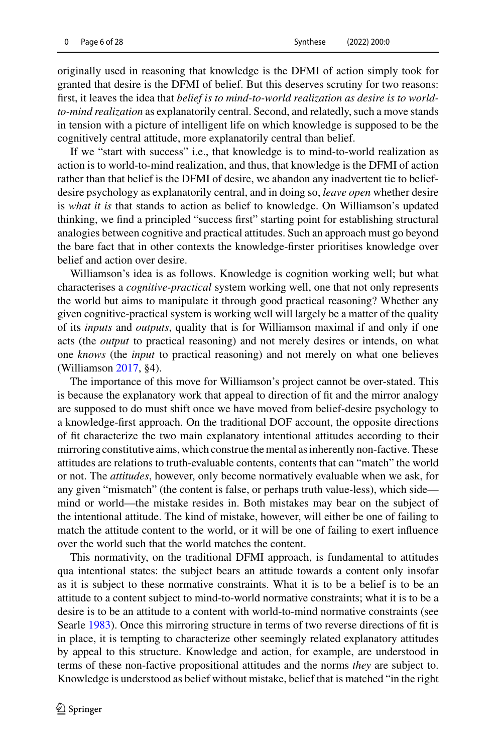originally used in reasoning that knowledge is the DFMI of action simply took for granted that desire is the DFMI of belief. But this deserves scrutiny for two reasons: first, it leaves the idea that *belief is to mind-to-world realization as desire is to worldto-mind realization* as explanatorily central. Second, and relatedly, such a move stands in tension with a picture of intelligent life on which knowledge is supposed to be the cognitively central attitude, more explanatorily central than belief.

If we "start with success" i.e., that knowledge is to mind-to-world realization as action is to world-to-mind realization, and thus, that knowledge is the DFMI of action rather than that belief is the DFMI of desire, we abandon any inadvertent tie to beliefdesire psychology as explanatorily central, and in doing so, *leave open* whether desire is *what it is* that stands to action as belief to knowledge. On Williamson's updated thinking, we find a principled "success first" starting point for establishing structural analogies between cognitive and practical attitudes. Such an approach must go beyond the bare fact that in other contexts the knowledge-firster prioritises knowledge over belief and action over desire.

Williamson's idea is as follows. Knowledge is cognition working well; but what characterises a *cognitive-practical* system working well, one that not only represents the world but aims to manipulate it through good practical reasoning? Whether any given cognitive-practical system is working well will largely be a matter of the quality of its *inputs* and *outputs*, quality that is for Williamson maximal if and only if one acts (the *output* to practical reasoning) and not merely desires or intends, on what one *knows* (the *input* to practical reasoning) and not merely on what one believes (Williamso[n](#page-27-1) [2017,](#page-27-1) §4).

The importance of this move for Williamson's project cannot be over-stated. This is because the explanatory work that appeal to direction of fit and the mirror analogy are supposed to do must shift once we have moved from belief-desire psychology to a knowledge-first approach. On the traditional DOF account, the opposite directions of fit characterize the two main explanatory intentional attitudes according to their mirroring constitutive aims, which construe the mental as inherently non-factive. These attitudes are relations to truth-evaluable contents, contents that can "match" the world or not. The *attitudes*, however, only become normatively evaluable when we ask, for any given "mismatch" (the content is false, or perhaps truth value-less), which side mind or world—the mistake resides in. Both mistakes may bear on the subject of the intentional attitude. The kind of mistake, however, will either be one of failing to match the attitude content to the world, or it will be one of failing to exert influence over the world such that the world matches the content.

This normativity, on the traditional DFMI approach, is fundamental to attitudes qua intentional states: the subject bears an attitude towards a content only insofar as it is subject to these normative constraints. What it is to be a belief is to be an attitude to a content subject to mind-to-world normative constraints; what it is to be a desire is to be an attitude to a content with world-to-mind normative constraints (see Searl[e](#page-27-2) [1983\)](#page-27-2). Once this mirroring structure in terms of two reverse directions of fit is in place, it is tempting to characterize other seemingly related explanatory attitudes by appeal to this structure. Knowledge and action, for example, are understood in terms of these non-factive propositional attitudes and the norms *they* are subject to. Knowledge is understood as belief without mistake, belief that is matched "in the right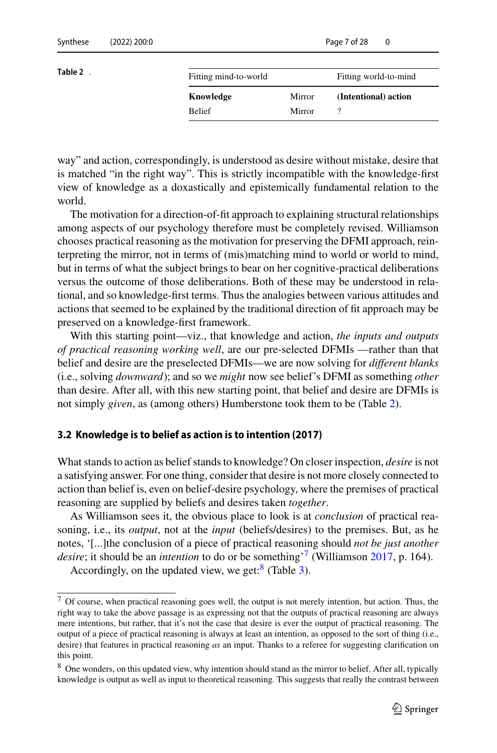<span id="page-6-0"></span>

| Fitting mind-to-world |        | Fitting world-to-mind |
|-----------------------|--------|-----------------------|
| Knowledge             | Mirror | (Intentional) action  |
| <b>Belief</b>         | Mirror |                       |
|                       |        |                       |

way" and action, correspondingly, is understood as desire without mistake, desire that is matched "in the right way". This is strictly incompatible with the knowledge-first view of knowledge as a doxastically and epistemically fundamental relation to the world.

The motivation for a direction-of-fit approach to explaining structural relationships among aspects of our psychology therefore must be completely revised. Williamson chooses practical reasoning as the motivation for preserving the DFMI approach, reinterpreting the mirror, not in terms of (mis)matching mind to world or world to mind, but in terms of what the subject brings to bear on her cognitive-practical deliberations versus the outcome of those deliberations. Both of these may be understood in relational, and so knowledge-first terms. Thus the analogies between various attitudes and actions that seemed to be explained by the traditional direction of fit approach may be preserved on a knowledge-first framework.

With this starting point—viz., that knowledge and action, *the inputs and outputs of practical reasoning working well*, are our pre-selected DFMIs —rather than that belief and desire are the preselected DFMIs—we are now solving for *different blanks* (i.e., solving *downward*); and so we *might* now see belief's DFMI as something *other* than desire. After all, with this new starting point, that belief and desire are DFMIs is not simply *given*, as (among others) Humberstone took them to be (Table [2\)](#page-6-0).

#### **3.2 Knowledge is to belief as action is to intention (2017)**

What stands to action as belief stands to knowledge? On closer inspection, *desire* is not a satisfying answer. For one thing, consider that desire is not more closely connected to action than belief is, even on belief-desire psychology, where the premises of practical reasoning are supplied by beliefs and desires taken *together*.

As Williamson sees it, the obvious place to look is at *conclusion* of practical reasoning, i.e., its *output*, not at the *input* (beliefs/desires) to the premises. But, as he notes, '[...]the conclusion of a piece of practical reasoning should *not be just another desire*; it should be an *intention* to do or be something'[7](#page-6-1) (Williamso[n](#page-27-1) [2017,](#page-27-1) p. 164).

Accordingly, on the updated view, we get: $8$  (Table [3\)](#page-7-0).

<span id="page-6-1"></span><sup>7</sup> Of course, when practical reasoning goes well, the output is not merely intention, but action. Thus, the right way to take the above passage is as expressing not that the outputs of practical reasoning are always mere intentions, but rather, that it's not the case that desire is ever the output of practical reasoning. The output of a piece of practical reasoning is always at least an intention, as opposed to the sort of thing (i.e., desire) that features in practical reasoning *as* an input. Thanks to a referee for suggesting clarification on this point.

<span id="page-6-2"></span><sup>&</sup>lt;sup>8</sup> One wonders, on this updated view, why intention should stand as the mirror to belief. After all, typically knowledge is output as well as input to theoretical reasoning. This suggests that really the contrast between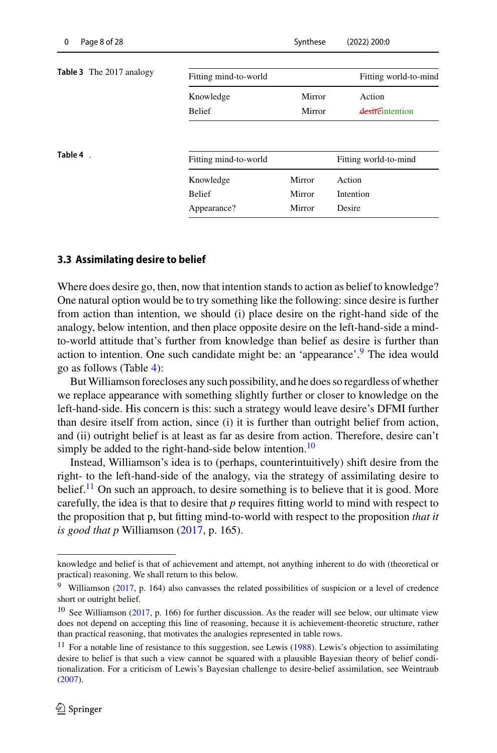<span id="page-7-2"></span><span id="page-7-0"></span>

| <b>Table 3</b> The 2017 analogy | Fitting mind-to-world |        | Fitting world-to-mind |
|---------------------------------|-----------------------|--------|-----------------------|
|                                 | Knowledge             | Mirror | Action                |
|                                 | <b>Belief</b>         | Mirror | desireintention       |
| Table 4.                        | Fitting mind-to-world |        | Fitting world-to-mind |
|                                 | Knowledge             | Mirror | Action                |
|                                 | <b>Belief</b>         | Mirror | Intention             |
|                                 |                       |        |                       |

#### **3.3 Assimilating desire to belief**

Where does desire go, then, now that intention stands to action as belief to knowledge? One natural option would be to try something like the following: since desire is further from action than intention, we should (i) place desire on the right-hand side of the analogy, below intention, and then place opposite desire on the left-hand-side a mindto-world attitude that's further from knowledge than belief as desire is further than action to intention. One such candidate might be: an 'appearance'.<sup>[9](#page-7-1)</sup> The idea would go as follows (Table [4\)](#page-7-2):

ButWilliamson forecloses any such possibility, and he does so regardless of whether we replace appearance with something slightly further or closer to knowledge on the left-hand-side. His concern is this: such a strategy would leave desire's DFMI further than desire itself from action, since (i) it is further than outright belief from action, and (ii) outright belief is at least as far as desire from action. Therefore, desire can't simply be added to the right-hand-side below intention.<sup>10</sup>

Instead, Williamson's idea is to (perhaps, counterintuitively) shift desire from the right- to the left-hand-side of the analogy, via the strategy of assimilating desire to belief.<sup>11</sup> On such an approach, to desire something is to believe that it is good. More carefully, the idea is that to desire that *p* requires fitting world to mind with respect to the proposition that p, but fitting mind-to-world with respect to the proposition *that it is good that p* Williamson [\(2017,](#page-27-1) p. 165).

knowledge and belief is that of achievement and attempt, not anything inherent to do with (theoretical or practical) reasoning. We shall return to this below.

<span id="page-7-1"></span><sup>9</sup> Williamson [\(2017](#page-27-1), p. 164) also canvasses the related possibilities of suspicion or a level of credence short or outright belief.

<span id="page-7-3"></span> $10$  See Williamson [\(2017,](#page-27-1) p. 166) for further discussion. As the reader will see below, our ultimate view does not depend on accepting this line of reasoning, because it is achievement-theoretic structure, rather than practical reasoning, that motivates the analogies represented in table rows.

<span id="page-7-4"></span> $11$  For a notable line of re[s](#page-27-5)istance to this suggestion, see Lewis [\(1988\)](#page-27-5). Lewis's objection to assimilating desire to belief is that such a view cannot be squared with a plausible Bayesian theory of belief conditionalization. For a criticism of Lewis's Bayesian challenge to desire-belief assimilation, see Weintrau[b](#page-27-6) [\(2007](#page-27-6)).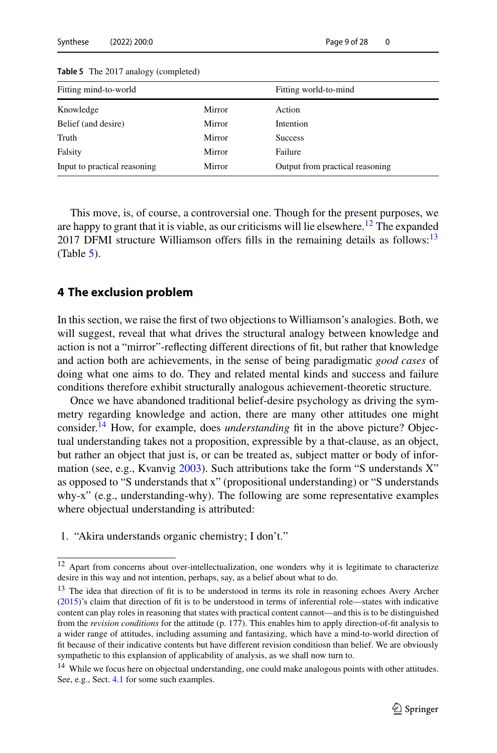| Fitting mind-to-world        |               | Fitting world-to-mind           |
|------------------------------|---------------|---------------------------------|
| Knowledge                    | <b>Mirror</b> | Action                          |
| Belief (and desire)          | Mirror        | Intention                       |
| Truth                        | Mirror        | <b>Success</b>                  |
| Falsity                      | Mirror        | Failure                         |
| Input to practical reasoning | Mirror        | Output from practical reasoning |

<span id="page-8-3"></span>**Table 5** The 2017 analogy (completed)

This move, is, of course, a controversial one. Though for the present purposes, we are happy to grant that it is viable, as our criticisms will lie elsewhere.<sup>[12](#page-8-1)</sup> The expanded 2017 DFMI structure Williamson offers fills in the remaining details as follows: $13$  $(Table 5)$  $(Table 5)$ .

### <span id="page-8-0"></span>**4 The exclusion problem**

In this section, we raise the first of two objections to Williamson's analogies. Both, we will suggest, reveal that what drives the structural analogy between knowledge and action is not a "mirror"-reflecting different directions of fit, but rather that knowledge and action both are achievements, in the sense of being paradigmatic *good cases* of doing what one aims to do. They and related mental kinds and success and failure conditions therefore exhibit structurally analogous achievement-theoretic structure.

Once we have abandoned traditional belief-desire psychology as driving the symmetry regarding knowledge and action, there are many other attitudes one might consider.[14](#page-8-4) How, for example, does *understanding* fit in the above picture? Objectual understanding takes not a proposition, expressible by a that-clause, as an object, but rather an object that just is, or can be treated as, subject matter or body of information (see, e.g., Kvanvi[g](#page-26-3) [2003](#page-26-3)). Such attributions take the form "S understands X" as opposed to "S understands that x" (propositional understanding) or "S understands why-x" (e.g., understanding-why). The following are some representative examples where objectual understanding is attributed:

1. "Akira understands organic chemistry; I don't."

<span id="page-8-1"></span><sup>&</sup>lt;sup>12</sup> Apart from concerns about over-intellectualization, one wonders why it is legitimate to characterize desire in this way and not intention, perhaps, say, as a belief about what to do.

<span id="page-8-2"></span><sup>&</sup>lt;sup>13</sup> The idea that di[r](#page-26-4)ection of fit is to be understood in terms its role in reasoning echoes Avery Archer [\(2015](#page-26-4))'s claim that direction of fit is to be understood in terms of inferential role—states with indicative content can play roles in reasoning that states with practical content cannot—and this is to be distinguished from the *revision conditions* for the attitude (p. 177). This enables him to apply direction-of-fit analysis to a wider range of attitudes, including assuming and fantasizing, which have a mind-to-world direction of fit because of their indicative contents but have different revision conditiosn than belief. We are obviously sympathetic to this explansion of applicability of analysis, as we shall now turn to.

<span id="page-8-4"></span><sup>&</sup>lt;sup>14</sup> While we focus here on objectual understanding, one could make analogous points with other attitudes. See, e.g., Sect. [4.1](#page-11-0) for some such examples.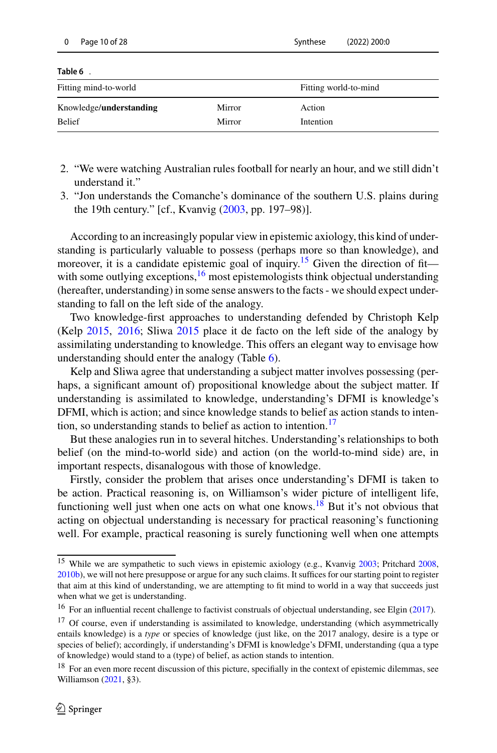<span id="page-9-2"></span>

| Page 10 of 28<br>0              |        | $(2022)$ 200:0<br>Synthese |  |
|---------------------------------|--------|----------------------------|--|
| Table 6.                        |        |                            |  |
| Fitting mind-to-world           |        | Fitting world-to-mind      |  |
| Knowledge/ <b>understanding</b> | Mirror | Action                     |  |
| <b>Belief</b>                   | Mirror | Intention                  |  |

- 2. "We were watching Australian rules football for nearly an hour, and we still didn't understand it."
- 3. "Jon understands the Comanche's dominance of the southern U.S. plains during the 19th century." [cf., Kvanvig [\(2003](#page-26-3), pp. 197–98)].

According to an increasingly popular view in epistemic axiology, this kind of understanding is particularly valuable to possess (perhaps more so than knowledge), and moreover, it is a candidate epistemic goal of inquiry.<sup>15</sup> Given the direction of fit with some outlying exceptions, $16$  most epistemologists think objectual understanding (hereafter, understanding) in some sense answers to the facts - we should expect understanding to fall on the left side of the analogy.

Two knowledge-first approaches to understanding defended by Christoph Kelp (Kel[p](#page-26-5) [2015,](#page-26-5) [2016;](#page-26-6) Sliw[a](#page-27-7) [2015](#page-27-7) place it de facto on the left side of the analogy by assimilating understanding to knowledge. This offers an elegant way to envisage how understanding should enter the analogy (Table [6\)](#page-9-2).

Kelp and Sliwa agree that understanding a subject matter involves possessing (perhaps, a significant amount of) propositional knowledge about the subject matter. If understanding is assimilated to knowledge, understanding's DFMI is knowledge's DFMI, which is action; and since knowledge stands to belief as action stands to intention, so understanding stands to belief as action to intention.<sup>17</sup>

But these analogies run in to several hitches. Understanding's relationships to both belief (on the mind-to-world side) and action (on the world-to-mind side) are, in important respects, disanalogous with those of knowledge.

Firstly, consider the problem that arises once understanding's DFMI is taken to be action. Practical reasoning is, on Williamson's wider picture of intelligent life, functioning well just when one acts on what one knows.<sup>18</sup> But it's not obvious that acting on objectual understanding is necessary for practical reasoning's functioning well. For example, practical reasoning is surely functioning well when one attempts

<span id="page-9-0"></span><sup>&</sup>lt;sup>15</sup> While we are sympathetic to such views in epistemic axiolo[g](#page-26-3)y (e.g., Kvanvig [2003](#page-26-3); Pritchar[d](#page-27-8) [2008](#page-27-8), [2010b\)](#page-27-9), we will not here presuppose or argue for any such claims. It suffices for our starting point to register that aim at this kind of understanding, we are attempting to fit mind to world in a way that succeeds just when what we get is understanding.

<span id="page-9-1"></span><sup>&</sup>lt;sup>16</sup> For a[n](#page-26-7) influential recent challenge to factivist construals of objectual understanding, see Elgin [\(2017\)](#page-26-7).

<span id="page-9-3"></span> $17$  Of course, even if understanding is assimilated to knowledge, understanding (which asymmetrically entails knowledge) is a *type* or species of knowledge (just like, on the 2017 analogy, desire is a type or species of belief); accordingly, if understanding's DFMI is knowledge's DFMI, understanding (qua a type of knowledge) would stand to a (type) of belief, as action stands to intention.

<span id="page-9-4"></span><sup>&</sup>lt;sup>18</sup> For an even more recent discussion of this picture, specifially in the context of epistemic dilemmas, see Williamson [\(2021](#page-27-10), §3).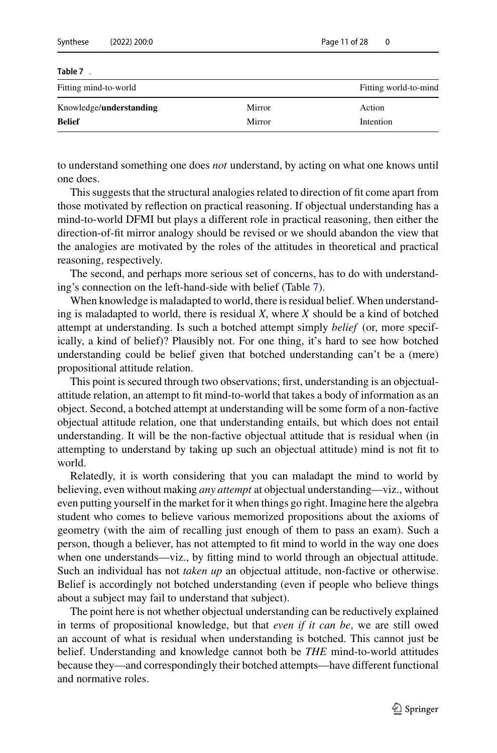<span id="page-10-0"></span>

| <b>Belief</b>            | Mirror | Intention             |
|--------------------------|--------|-----------------------|
| Knowledge/understanding  | Mirror | Action                |
| Fitting mind-to-world    |        | Fitting world-to-mind |
| Table 7.                 |        |                       |
|                          |        |                       |
| Synthese<br>(2022) 200:0 |        | Page 11 of 28         |

to understand something one does *not* understand, by acting on what one knows until one does.

This suggests that the structural analogies related to direction of fit come apart from those motivated by reflection on practical reasoning. If objectual understanding has a mind-to-world DFMI but plays a different role in practical reasoning, then either the direction-of-fit mirror analogy should be revised or we should abandon the view that the analogies are motivated by the roles of the attitudes in theoretical and practical reasoning, respectively.

The second, and perhaps more serious set of concerns, has to do with understanding's connection on the left-hand-side with belief (Table [7\)](#page-10-0).

When knowledge is maladapted to world, there is residual belief. When understanding is maladapted to world, there is residual *X*, where *X* should be a kind of botched attempt at understanding. Is such a botched attempt simply *belief* (or, more specifically, a kind of belief)? Plausibly not. For one thing, it's hard to see how botched understanding could be belief given that botched understanding can't be a (mere) propositional attitude relation.

This point is secured through two observations; first, understanding is an objectualattitude relation, an attempt to fit mind-to-world that takes a body of information as an object. Second, a botched attempt at understanding will be some form of a non-factive objectual attitude relation, one that understanding entails, but which does not entail understanding. It will be the non-factive objectual attitude that is residual when (in attempting to understand by taking up such an objectual attitude) mind is not fit to world.

Relatedly, it is worth considering that you can maladapt the mind to world by believing, even without making *any attempt* at objectual understanding—viz., without even putting yourself in the market for it when things go right. Imagine here the algebra student who comes to believe various memorized propositions about the axioms of geometry (with the aim of recalling just enough of them to pass an exam). Such a person, though a believer, has not attempted to fit mind to world in the way one does when one understands—viz., by fitting mind to world through an objectual attitude. Such an individual has not *taken up* an objectual attitude, non-factive or otherwise. Belief is accordingly not botched understanding (even if people who believe things about a subject may fail to understand that subject).

The point here is not whether objectual understanding can be reductively explained in terms of propositional knowledge, but that *even if it can be*, we are still owed an account of what is residual when understanding is botched. This cannot just be belief. Understanding and knowledge cannot both be *THE* mind-to-world attitudes because they—and correspondingly their botched attempts—have different functional and normative roles.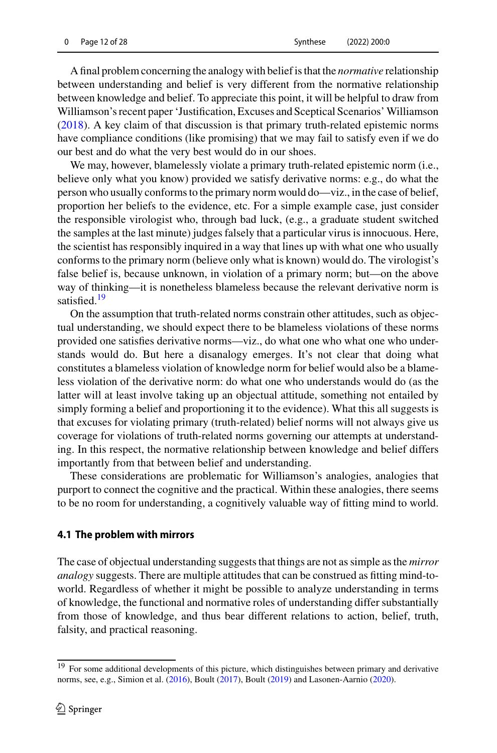A final problem concerning the analogy with belief is that the *normative* relationship between understanding and belief is very different from the normative relationship between knowledge and belief. To appreciate this point, it will be helpful to draw from Williamson's recent paper 'Justification, Excuses and Sceptical Scenarios'Williamso[n](#page-27-11) [\(2018\)](#page-27-11). A key claim of that discussion is that primary truth-related epistemic norms have compliance conditions (like promising) that we may fail to satisfy even if we do our best and do what the very best would do in our shoes.

We may, however, blamelessly violate a primary truth-related epistemic norm (i.e., believe only what you know) provided we satisfy derivative norms: e.g., do what the person who usually conforms to the primary norm would do—viz., in the case of belief, proportion her beliefs to the evidence, etc. For a simple example case, just consider the responsible virologist who, through bad luck, (e.g., a graduate student switched the samples at the last minute) judges falsely that a particular virus is innocuous. Here, the scientist has responsibly inquired in a way that lines up with what one who usually conforms to the primary norm (believe only what is known) would do. The virologist's false belief is, because unknown, in violation of a primary norm; but—on the above way of thinking—it is nonetheless blameless because the relevant derivative norm is satisfied. $19$ 

On the assumption that truth-related norms constrain other attitudes, such as objectual understanding, we should expect there to be blameless violations of these norms provided one satisfies derivative norms—viz., do what one who what one who understands would do. But here a disanalogy emerges. It's not clear that doing what constitutes a blameless violation of knowledge norm for belief would also be a blameless violation of the derivative norm: do what one who understands would do (as the latter will at least involve taking up an objectual attitude, something not entailed by simply forming a belief and proportioning it to the evidence). What this all suggests is that excuses for violating primary (truth-related) belief norms will not always give us coverage for violations of truth-related norms governing our attempts at understanding. In this respect, the normative relationship between knowledge and belief differs importantly from that between belief and understanding.

These considerations are problematic for Williamson's analogies, analogies that purport to connect the cognitive and the practical. Within these analogies, there seems to be no room for understanding, a cognitively valuable way of fitting mind to world.

#### <span id="page-11-0"></span>**4.1 The problem with mirrors**

The case of objectual understanding suggests that things are not as simple as the *mirror analogy* suggests. There are multiple attitudes that can be construed as fitting mind-toworld. Regardless of whether it might be possible to analyze understanding in terms of knowledge, the functional and normative roles of understanding differ substantially from those of knowledge, and thus bear different relations to action, belief, truth, falsity, and practical reasoning.

<span id="page-11-1"></span><sup>&</sup>lt;sup>19</sup> For some additional developments of this picture, which distinguishes between primary and derivative norms, see, e.g., Simion et al[.](#page-27-12) [\(2016](#page-27-12)), Boul[t](#page-26-8) [\(2017](#page-26-8)), Boul[t](#page-26-9) [\(2019](#page-26-9)) and Lasonen-Aarni[o](#page-26-10) [\(2020\)](#page-26-10).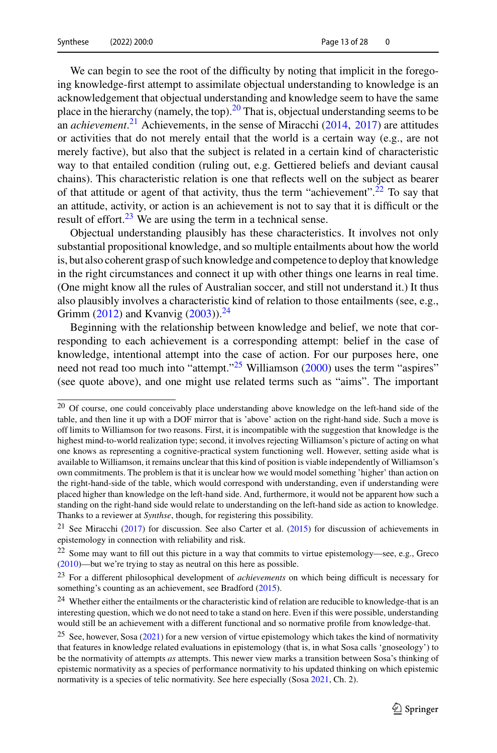We can begin to see the root of the difficulty by noting that implicit in the foregoing knowledge-first attempt to assimilate objectual understanding to knowledge is an acknowledgement that objectual understanding and knowledge seem to have the same place in the hierarchy (namely, the top).<sup>20</sup> That is, objectual understanding seems to be an *achievement*. [21](#page-12-1) Achievements, in the sense of Miracch[i](#page-27-13) [\(2014,](#page-27-13) [2017\)](#page-27-14) are attitudes or activities that do not merely entail that the world is a certain way (e.g., are not merely factive), but also that the subject is related in a certain kind of characteristic way to that entailed condition (ruling out, e.g. Gettiered beliefs and deviant causal chains). This characteristic relation is one that reflects well on the subject as bearer of that attitude or agent of that activity, thus the term "achievement".<sup>22</sup> To say that an attitude, activity, or action is an achievement is not to say that it is difficult or the result of effort. $23$  We are using the term in a technical sense.

Objectual understanding plausibly has these characteristics. It involves not only substantial propositional knowledge, and so multiple entailments about how the world is, but also coherent grasp of such knowledge and competence to deploy that knowledge in the right circumstances and connect it up with other things one learns in real time. (One might know all the rules of Australian soccer, and still not understand it.) It thus also plausibly involves a characteristic kind of relation to those entailments (see, e.g., Gri[m](#page-26-11)m [\(2012](#page-26-11)) and Kvanvi[g](#page-26-3) [\(2003](#page-26-3))).<sup>[24](#page-12-4)</sup>

Beginning with the relationship between knowledge and belief, we note that corresponding to each achievement is a corresponding attempt: belief in the case of knowledge, intentional attempt into the case of action. For our purposes here, one [n](#page-27-0)eed not read too much into "attempt."<sup>25</sup> Williamson [\(2000\)](#page-27-0) uses the term "aspires" (see quote above), and one might use related terms such as "aims". The important

<span id="page-12-0"></span><sup>&</sup>lt;sup>20</sup> Of course, one could conceivably place understanding above knowledge on the left-hand side of the table, and then line it up with a DOF mirror that is 'above' action on the right-hand side. Such a move is off limits to Williamson for two reasons. First, it is incompatible with the suggestion that knowledge is the highest mind-to-world realization type; second, it involves rejecting Williamson's picture of acting on what one knows as representing a cognitive-practical system functioning well. However, setting aside what is available to Williamson, it remains unclear that this kind of position is viable independently of Williamson's own commitments. The problem is that it is unclear how we would model something 'higher' than action on the right-hand-side of the table, which would correspond with understanding, even if understanding were placed higher than knowledge on the left-hand side. And, furthermore, it would not be apparent how such a standing on the right-hand side would relate to understanding on the left-hand side as action to knowledge. Thanks to a reviewer at *Synthse*, though, for registering this possibility.

<span id="page-12-1"></span><sup>&</sup>lt;sup>21</sup> See M[i](#page-27-14)racchi [\(2017\)](#page-27-14) for discussion[.](#page-26-12) See also Carter et al. [\(2015\)](#page-26-12) for discussion of achievements in epistemology in connection with reliability and risk.

<span id="page-12-2"></span><sup>22</sup> Some may want to fill out this picture in a way that commits to virtue epistemology—see, e.g., Grec[o](#page-26-13) [\(2010](#page-26-13))—but we're trying to stay as neutral on this here as possible.

<span id="page-12-3"></span><sup>23</sup> For a different philosophical development of *achievements* on which being difficult is necessary for something's counting as an achievement, see Bra[d](#page-26-14)ford [\(2015\)](#page-26-14).

<span id="page-12-4"></span><sup>&</sup>lt;sup>24</sup> Whether either the entailments or the characteristic kind of relation are reducible to knowledge-that is an interesting question, which we do not need to take a stand on here. Even if this were possible, understanding would still be an achievement with a different functional and so normative profile from knowledge-that.

<span id="page-12-5"></span><sup>&</sup>lt;sup>25</sup> See, however, Sos[a](#page-27-15)  $(2021)$  $(2021)$  for a new version of virtue epistemology which takes the kind of normativity that features in knowledge related evaluations in epistemology (that is, in what Sosa calls 'gnoseology') to be the normativity of attempts *as* attempts. This newer view marks a transition between Sosa's thinking of epistemic normativity as a species of performance normativity to his updated thinking on which epistemic normativity is a species of telic normativity. See here especially (Sos[a](#page-27-15) [2021](#page-27-15), Ch. 2).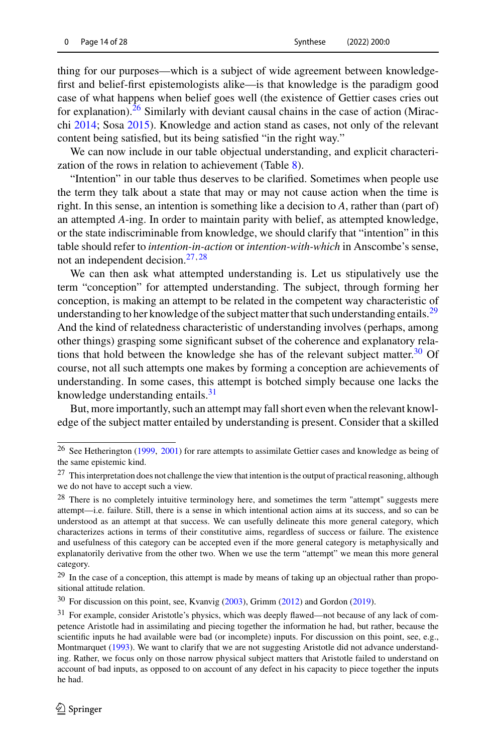thing for our purposes—which is a subject of wide agreement between knowledgefirst and belief-first epistemologists alike—is that knowledge is the paradigm good case of what happens when belief goes well (the existence of Gettier cases cries out for explanation).<sup>26</sup> Similarly with deviant causal chains in the case of action (Miracch[i](#page-27-13) [2014;](#page-27-13) Sos[a](#page-27-16) [2015\)](#page-27-16). Knowledge and action stand as cases, not only of the relevant content being satisfied, but its being satisfied "in the right way."

We can now include in our table objectual understanding, and explicit characteri-zation of the rows in relation to achievement (Table [8\)](#page-14-0).

"Intention" in our table thus deserves to be clarified. Sometimes when people use the term they talk about a state that may or may not cause action when the time is right. In this sense, an intention is something like a decision to *A*, rather than (part of) an attempted *A*-ing. In order to maintain parity with belief, as attempted knowledge, or the state indiscriminable from knowledge, we should clarify that "intention" in this table should refer to *intention-in-action* or *intention-with-which* in Anscombe's sense, not an independent decision.[27](#page-13-1),[28](#page-13-2)

We can then ask what attempted understanding is. Let us stipulatively use the term "conception" for attempted understanding. The subject, through forming her conception, is making an attempt to be related in the competent way characteristic of understanding to her knowledge of the subject matter that such understanding entails.<sup>[29](#page-13-3)</sup> And the kind of relatedness characteristic of understanding involves (perhaps, among other things) grasping some significant subset of the coherence and explanatory relations that hold between the knowledge she has of the relevant subject matter.<sup>30</sup> Of course, not all such attempts one makes by forming a conception are achievements of understanding. In some cases, this attempt is botched simply because one lacks the knowledge understanding entails.<sup>[31](#page-13-5)</sup>

But, more importantly, such an attempt may fall short even when the relevant knowledge of the subject matter entailed by understanding is present. Consider that a skilled

<span id="page-13-0"></span><sup>&</sup>lt;sup>26</sup> See Hetheri[n](#page-26-15)gton [\(1999](#page-26-15), [2001](#page-26-16)) for rare attempts to assimilate Gettier cases and knowledge as being of the same epistemic kind.

<span id="page-13-1"></span><sup>&</sup>lt;sup>27</sup> This interpretation does not challenge the view that intention is the output of practical reasoning, although we do not have to accept such a view.

<span id="page-13-2"></span><sup>&</sup>lt;sup>28</sup> There is no completely intuitive terminology here, and sometimes the term "attempt" suggests mere attempt—i.e. failure. Still, there is a sense in which intentional action aims at its success, and so can be understood as an attempt at that success. We can usefully delineate this more general category, which characterizes actions in terms of their constitutive aims, regardless of success or failure. The existence and usefulness of this category can be accepted even if the more general category is metaphysically and explanatorily derivative from the other two. When we use the term "attempt" we mean this more general category.

<span id="page-13-3"></span> $29$  In the case of a conception, this attempt is made by means of taking up an objectual rather than propositional attitude relation.

<span id="page-13-4"></span><sup>30</sup> For discussion on this point, see, Kvanvi[g](#page-26-3) [\(2003\)](#page-26-3), Grim[m](#page-26-11) [\(2012](#page-26-11)) and Gordo[n](#page-26-17) [\(2019](#page-26-17)).

<span id="page-13-5"></span><sup>31</sup> For example, consider Aristotle's physics, which was deeply flawed—not because of any lack of competence Aristotle had in assimilating and piecing together the information he had, but rather, because the scientific inputs he had available were bad (or incomplete) inputs. For discussion on this point, see, e.g., Montmarque[t](#page-27-17) [\(1993\)](#page-27-17). We want to clarify that we are not suggesting Aristotle did not advance understanding. Rather, we focus only on those narrow physical subject matters that Aristotle failed to understand on account of bad inputs, as opposed to on account of any defect in his capacity to piece together the inputs he had.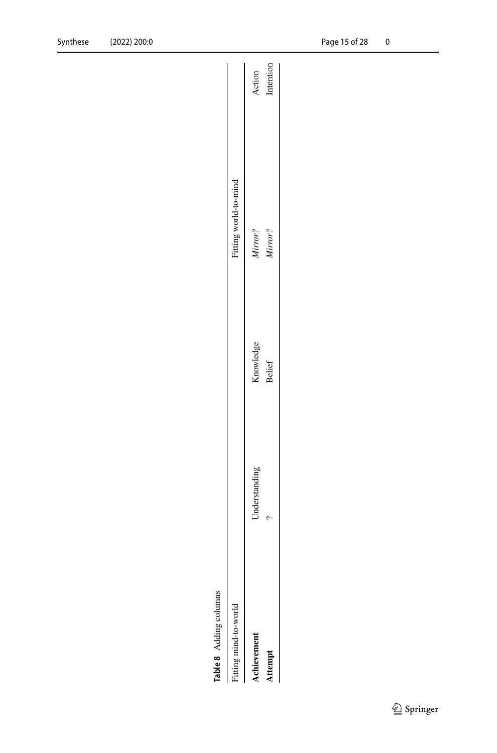<span id="page-14-0"></span>

| ١ |  |
|---|--|
| J |  |
| ∞ |  |
| ω |  |
|   |  |

| Table 8 Adding columns |               |               |                       |           |
|------------------------|---------------|---------------|-----------------------|-----------|
| Fitting mind-to-world  |               |               | Fitting world-to-mind |           |
| <b>Achievement</b>     | Inderstanding | Knowledge     | Mirror?               | Action    |
| Attempt                |               | <b>Belief</b> | Mirror?               | Intention |
|                        |               |               |                       |           |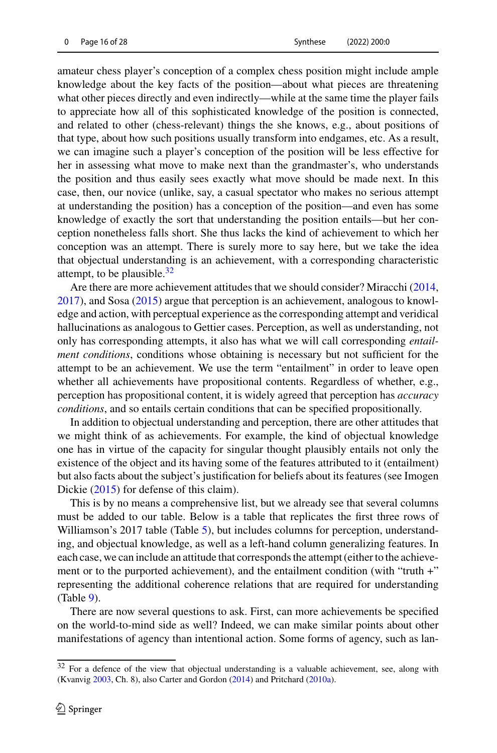amateur chess player's conception of a complex chess position might include ample knowledge about the key facts of the position—about what pieces are threatening what other pieces directly and even indirectly—while at the same time the player fails to appreciate how all of this sophisticated knowledge of the position is connected, and related to other (chess-relevant) things the she knows, e.g., about positions of that type, about how such positions usually transform into endgames, etc. As a result, we can imagine such a player's conception of the position will be less effective for her in assessing what move to make next than the grandmaster's, who understands the position and thus easily sees exactly what move should be made next. In this case, then, our novice (unlike, say, a casual spectator who makes no serious attempt at understanding the position) has a conception of the position—and even has some knowledge of exactly the sort that understanding the position entails—but her conception nonetheless falls short. She thus lacks the kind of achievement to which her conception was an attempt. There is surely more to say here, but we take the idea that objectual understanding is an achievement, with a corresponding characteristic attempt, to be plausible. $32$ 

Are there are more achievement attitudes that we should consider? Miracch[i](#page-27-13) [\(2014,](#page-27-13) [2017\)](#page-27-14), and Sos[a](#page-27-16) [\(2015\)](#page-27-16) argue that perception is an achievement, analogous to knowledge and action, with perceptual experience as the corresponding attempt and veridical hallucinations as analogous to Gettier cases. Perception, as well as understanding, not only has corresponding attempts, it also has what we will call corresponding *entailment conditions*, conditions whose obtaining is necessary but not sufficient for the attempt to be an achievement. We use the term "entailment" in order to leave open whether all achievements have propositional contents. Regardless of whether, e.g., perception has propositional content, it is widely agreed that perception has *accuracy conditions*, and so entails certain conditions that can be specified propositionally.

In addition to objectual understanding and perception, there are other attitudes that we might think of as achievements. For example, the kind of objectual knowledge one has in virtue of the capacity for singular thought plausibly entails not only the existence of the object and its having some of the features attributed to it (entailment) but also facts about the subject's justification for beliefs about its features (see Imogen Dicki[e](#page-26-18) [\(2015](#page-26-18)) for defense of this claim).

This is by no means a comprehensive list, but we already see that several columns must be added to our table. Below is a table that replicates the first three rows of Williamson's 2017 table (Table [5\)](#page-8-3), but includes columns for perception, understanding, and objectual knowledge, as well as a left-hand column generalizing features. In each case, we can include an attitude that corresponds the attempt (either to the achievement or to the purported achievement), and the entailment condition (with "truth +" representing the additional coherence relations that are required for understanding (Table [9\)](#page-16-0).

There are now several questions to ask. First, can more achievements be specified on the world-to-mind side as well? Indeed, we can make similar points about other manifestations of agency than intentional action. Some forms of agency, such as lan-

<span id="page-15-0"></span><sup>&</sup>lt;sup>32</sup> For a defence of the view that objectual understanding is a valuable achievement, see, along with (Kvanvi[g](#page-26-3) [2003](#page-26-3), Ch. 8), also Carter and Gordo[n](#page-26-19) [\(2014](#page-26-19)) and Pritchar[d](#page-27-18) [\(2010a\)](#page-27-18).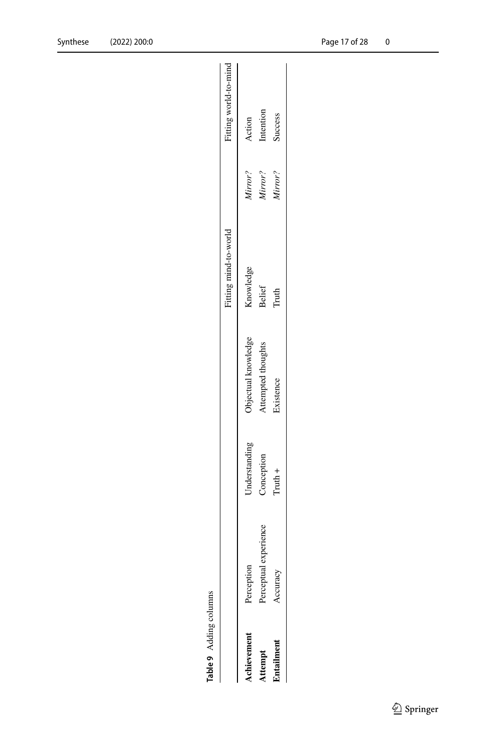|                           |            |               |                     | Fitting mind-to-world |         | Fitting world-to-mind |
|---------------------------|------------|---------------|---------------------|-----------------------|---------|-----------------------|
|                           |            |               |                     |                       |         |                       |
| Perception<br>kchievement |            | Jnderstanding | Objectual knowledge | Knowledge             | Virror? | Action                |
| erceptual<br>ttempt       | experience | Conception    | ittempted thoughts  | <b>Belief</b>         | Kirror? | Intention             |
| ccuracy<br>Entailment     |            | $T$ ruth +    | <b>Existence</b>    | Truth                 | Virror? | <b>Success</b>        |

<span id="page-16-0"></span>Table 9 Adding columns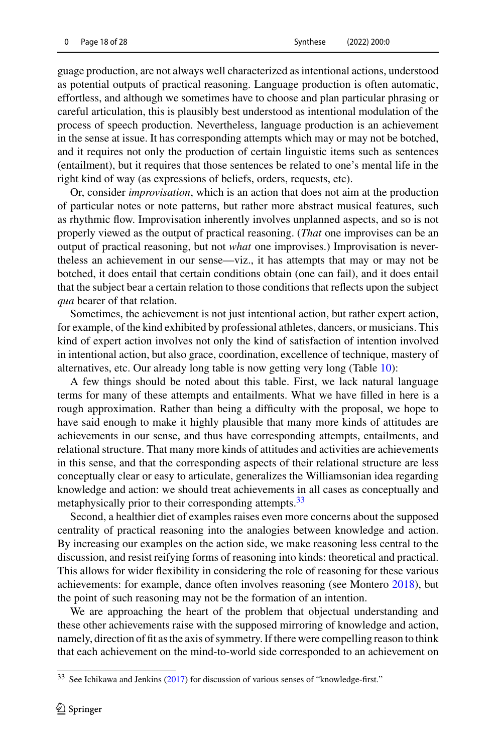guage production, are not always well characterized as intentional actions, understood as potential outputs of practical reasoning. Language production is often automatic, effortless, and although we sometimes have to choose and plan particular phrasing or careful articulation, this is plausibly best understood as intentional modulation of the process of speech production. Nevertheless, language production is an achievement in the sense at issue. It has corresponding attempts which may or may not be botched, and it requires not only the production of certain linguistic items such as sentences (entailment), but it requires that those sentences be related to one's mental life in the right kind of way (as expressions of beliefs, orders, requests, etc).

Or, consider *improvisation*, which is an action that does not aim at the production of particular notes or note patterns, but rather more abstract musical features, such as rhythmic flow. Improvisation inherently involves unplanned aspects, and so is not properly viewed as the output of practical reasoning. (*That* one improvises can be an output of practical reasoning, but not *what* one improvises.) Improvisation is nevertheless an achievement in our sense—viz., it has attempts that may or may not be botched, it does entail that certain conditions obtain (one can fail), and it does entail that the subject bear a certain relation to those conditions that reflects upon the subject *qua* bearer of that relation.

Sometimes, the achievement is not just intentional action, but rather expert action, for example, of the kind exhibited by professional athletes, dancers, or musicians. This kind of expert action involves not only the kind of satisfaction of intention involved in intentional action, but also grace, coordination, excellence of technique, mastery of alternatives, etc. Our already long table is now getting very long (Table [10\)](#page-18-0):

A few things should be noted about this table. First, we lack natural language terms for many of these attempts and entailments. What we have filled in here is a rough approximation. Rather than being a difficulty with the proposal, we hope to have said enough to make it highly plausible that many more kinds of attitudes are achievements in our sense, and thus have corresponding attempts, entailments, and relational structure. That many more kinds of attitudes and activities are achievements in this sense, and that the corresponding aspects of their relational structure are less conceptually clear or easy to articulate, generalizes the Williamsonian idea regarding knowledge and action: we should treat achievements in all cases as conceptually and metaphysically prior to their corresponding attempts.<sup>33</sup>

Second, a healthier diet of examples raises even more concerns about the supposed centrality of practical reasoning into the analogies between knowledge and action. By increasing our examples on the action side, we make reasoning less central to the discussion, and resist reifying forms of reasoning into kinds: theoretical and practical. This allows for wider flexibility in considering the role of reasoning for these various achievements: for example, dance often involves reasoning (see Monter[o](#page-27-19) [2018\)](#page-27-19), but the point of such reasoning may not be the formation of an intention.

We are approaching the heart of the problem that objectual understanding and these other achievements raise with the supposed mirroring of knowledge and action, namely, direction of fit as the axis of symmetry. If there were compelling reason to think that each achievement on the mind-to-world side corresponded to an achievement on

<span id="page-17-0"></span><sup>33</sup> See Ichikawa and Jenkin[s](#page-26-20) [\(2017\)](#page-26-20) for discussion of various senses of "knowledge-first."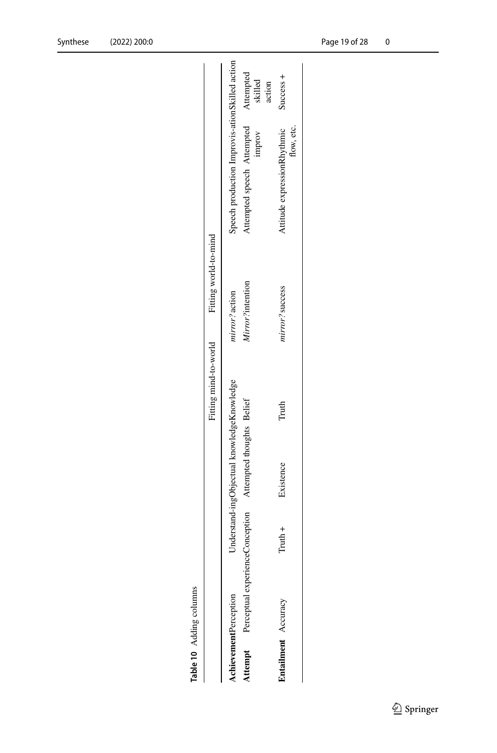| Table 10 Adding columns     |   |                                                                                   |                       |                         |                                                |            |                                |
|-----------------------------|---|-----------------------------------------------------------------------------------|-----------------------|-------------------------|------------------------------------------------|------------|--------------------------------|
|                             |   |                                                                                   | Fitting mind-to-world | Fitting world-to-mind   |                                                |            |                                |
| <b>chievementPerception</b> |   | Understand-ingObjectual knowledgeKnowledge                                        |                       | nirror?action           | speech production Improvis-ationSkilled action |            |                                |
|                             |   | <b>and the angle of Perceptual experienceConception</b> Attempted thoughts Belief |                       | <i>Mirror?intention</i> | ittempted speech Attempted                     | improv     | Attempted<br>skilled<br>action |
| Entailment Accuracy         | T | Existence                                                                         | Truth                 | nirror? success         | Attitude expressionRhythmic                    | flow, etc. | Success +                      |

Attitude expressionRhythmic<br>flow, etc.

<span id="page-18-0"></span>

| î |
|---|
|   |
|   |
|   |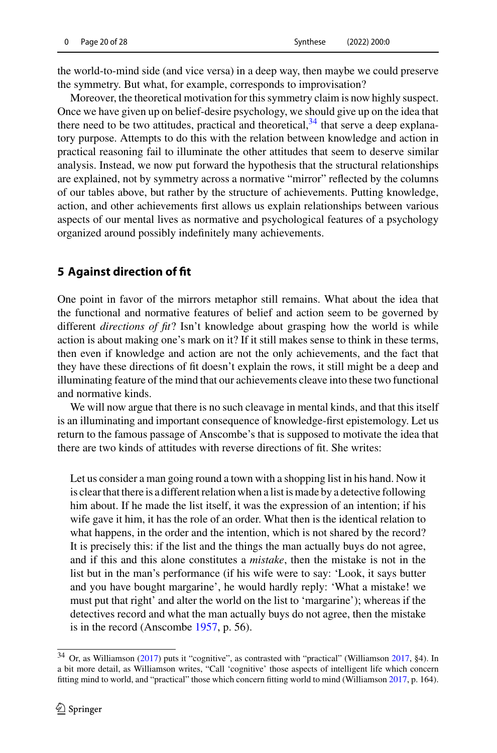the world-to-mind side (and vice versa) in a deep way, then maybe we could preserve the symmetry. But what, for example, corresponds to improvisation?

Moreover, the theoretical motivation for this symmetry claim is now highly suspect. Once we have given up on belief-desire psychology, we should give up on the idea that there need to be two attitudes, practical and theoretical,  $34$  that serve a deep explanatory purpose. Attempts to do this with the relation between knowledge and action in practical reasoning fail to illuminate the other attitudes that seem to deserve similar analysis. Instead, we now put forward the hypothesis that the structural relationships are explained, not by symmetry across a normative "mirror" reflected by the columns of our tables above, but rather by the structure of achievements. Putting knowledge, action, and other achievements first allows us explain relationships between various aspects of our mental lives as normative and psychological features of a psychology organized around possibly indefinitely many achievements.

## <span id="page-19-0"></span>**5 Against direction of fit**

One point in favor of the mirrors metaphor still remains. What about the idea that the functional and normative features of belief and action seem to be governed by different *directions of fit*? Isn't knowledge about grasping how the world is while action is about making one's mark on it? If it still makes sense to think in these terms, then even if knowledge and action are not the only achievements, and the fact that they have these directions of fit doesn't explain the rows, it still might be a deep and illuminating feature of the mind that our achievements cleave into these two functional and normative kinds.

We will now argue that there is no such cleavage in mental kinds, and that this itself is an illuminating and important consequence of knowledge-first epistemology. Let us return to the famous passage of Anscombe's that is supposed to motivate the idea that there are two kinds of attitudes with reverse directions of fit. She writes:

Let us consider a man going round a town with a shopping list in his hand. Now it is clear that there is a different relation when a list is made by a detective following him about. If he made the list itself, it was the expression of an intention; if his wife gave it him, it has the role of an order. What then is the identical relation to what happens, in the order and the intention, which is not shared by the record? It is precisely this: if the list and the things the man actually buys do not agree, and if this and this alone constitutes a *mistake*, then the mistake is not in the list but in the man's performance (if his wife were to say: 'Look, it says butter and you have bought margarine', he would hardly reply: 'What a mistake! we must put that right' and alter the world on the list to 'margarine'); whereas if the detectives record and what the man actually buys do not agree, then the mistake is in the record (Anscomb[e](#page-26-0) [1957](#page-26-0), p. 56).

<span id="page-19-1"></span><sup>34</sup> Or, as Williamso[n](#page-27-1) [\(2017\)](#page-27-1) puts it "cognitive", as contrasted with "practical" (Williamso[n](#page-27-1) [2017](#page-27-1), §4). In a bit more detail, as Williamson writes, "Call 'cognitive' those aspects of intelligent life which concern fitting mind to world, and "practical" those which concern fitting world to mind (Williamso[n](#page-27-1) [2017](#page-27-1), p. 164).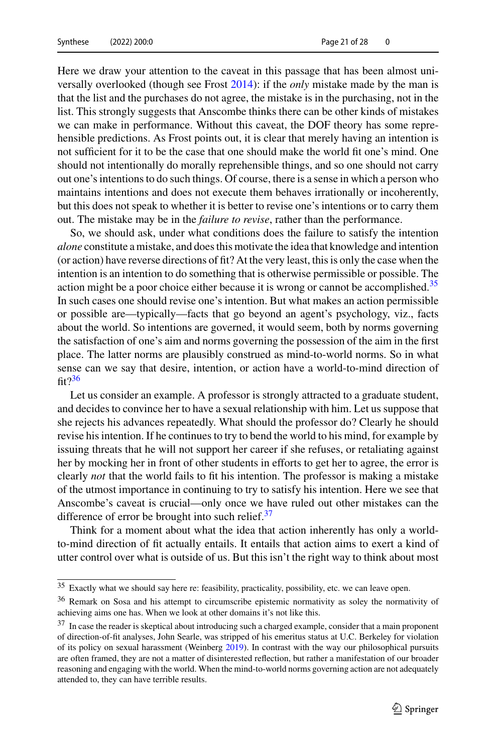Here we draw your attention to the caveat in this passage that has been almost universally overlooked (though see Fros[t](#page-26-2) [2014](#page-26-2)): if the *only* mistake made by the man is that the list and the purchases do not agree, the mistake is in the purchasing, not in the list. This strongly suggests that Anscombe thinks there can be other kinds of mistakes we can make in performance. Without this caveat, the DOF theory has some reprehensible predictions. As Frost points out, it is clear that merely having an intention is not sufficient for it to be the case that one should make the world fit one's mind. One should not intentionally do morally reprehensible things, and so one should not carry out one's intentions to do such things. Of course, there is a sense in which a person who maintains intentions and does not execute them behaves irrationally or incoherently, but this does not speak to whether it is better to revise one's intentions or to carry them out. The mistake may be in the *failure to revise*, rather than the performance.

So, we should ask, under what conditions does the failure to satisfy the intention *alone* constitute a mistake, and does this motivate the idea that knowledge and intention (or action) have reverse directions of fit? At the very least, this is only the case when the intention is an intention to do something that is otherwise permissible or possible. The action might be a poor choice either because it is wrong or cannot be accomplished.<sup>[35](#page-20-0)</sup> In such cases one should revise one's intention. But what makes an action permissible or possible are—typically—facts that go beyond an agent's psychology, viz., facts about the world. So intentions are governed, it would seem, both by norms governing the satisfaction of one's aim and norms governing the possession of the aim in the first place. The latter norms are plausibly construed as mind-to-world norms. So in what sense can we say that desire, intention, or action have a world-to-mind direction of  $fit<sup>36</sup>$ 

Let us consider an example. A professor is strongly attracted to a graduate student, and decides to convince her to have a sexual relationship with him. Let us suppose that she rejects his advances repeatedly. What should the professor do? Clearly he should revise his intention. If he continues to try to bend the world to his mind, for example by issuing threats that he will not support her career if she refuses, or retaliating against her by mocking her in front of other students in efforts to get her to agree, the error is clearly *not* that the world fails to fit his intention. The professor is making a mistake of the utmost importance in continuing to try to satisfy his intention. Here we see that Anscombe's caveat is crucial—only once we have ruled out other mistakes can the difference of error be brought into such relief. $37$ 

Think for a moment about what the idea that action inherently has only a worldto-mind direction of fit actually entails. It entails that action aims to exert a kind of utter control over what is outside of us. But this isn't the right way to think about most

<span id="page-20-0"></span><sup>&</sup>lt;sup>35</sup> Exactly what we should say here re: feasibility, practicality, possibility, etc. we can leave open.

<span id="page-20-1"></span><sup>36</sup> Remark on Sosa and his attempt to circumscribe epistemic normativity as soley the normativity of achieving aims one has. When we look at other domains it's not like this.

<span id="page-20-2"></span><sup>&</sup>lt;sup>37</sup> In case the reader is skeptical about introducing such a charged example, consider that a main proponent of direction-of-fit analyses, John Searle, was stripped of his emeritus status at U.C. Berkeley for violation of its policy on sexual harassment (Weinber[g](#page-27-20) [2019\)](#page-27-20). In contrast with the way our philosophical pursuits are often framed, they are not a matter of disinterested reflection, but rather a manifestation of our broader reasoning and engaging with the world. When the mind-to-world norms governing action are not adequately attended to, they can have terrible results.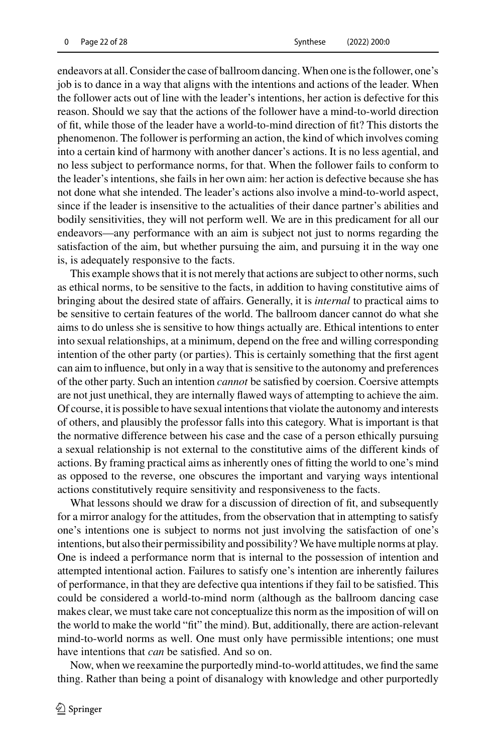endeavors at all. Consider the case of ballroom dancing.When one is the follower, one's job is to dance in a way that aligns with the intentions and actions of the leader. When the follower acts out of line with the leader's intentions, her action is defective for this reason. Should we say that the actions of the follower have a mind-to-world direction of fit, while those of the leader have a world-to-mind direction of fit? This distorts the phenomenon. The follower is performing an action, the kind of which involves coming into a certain kind of harmony with another dancer's actions. It is no less agential, and no less subject to performance norms, for that. When the follower fails to conform to the leader's intentions, she fails in her own aim: her action is defective because she has not done what she intended. The leader's actions also involve a mind-to-world aspect, since if the leader is insensitive to the actualities of their dance partner's abilities and bodily sensitivities, they will not perform well. We are in this predicament for all our endeavors—any performance with an aim is subject not just to norms regarding the satisfaction of the aim, but whether pursuing the aim, and pursuing it in the way one is, is adequately responsive to the facts.

This example shows that it is not merely that actions are subject to other norms, such as ethical norms, to be sensitive to the facts, in addition to having constitutive aims of bringing about the desired state of affairs. Generally, it is *internal* to practical aims to be sensitive to certain features of the world. The ballroom dancer cannot do what she aims to do unless she is sensitive to how things actually are. Ethical intentions to enter into sexual relationships, at a minimum, depend on the free and willing corresponding intention of the other party (or parties). This is certainly something that the first agent can aim to influence, but only in a way that is sensitive to the autonomy and preferences of the other party. Such an intention *cannot* be satisfied by coersion. Coersive attempts are not just unethical, they are internally flawed ways of attempting to achieve the aim. Of course, it is possible to have sexual intentions that violate the autonomy and interests of others, and plausibly the professor falls into this category. What is important is that the normative difference between his case and the case of a person ethically pursuing a sexual relationship is not external to the constitutive aims of the different kinds of actions. By framing practical aims as inherently ones of fitting the world to one's mind as opposed to the reverse, one obscures the important and varying ways intentional actions constitutively require sensitivity and responsiveness to the facts.

What lessons should we draw for a discussion of direction of fit, and subsequently for a mirror analogy for the attitudes, from the observation that in attempting to satisfy one's intentions one is subject to norms not just involving the satisfaction of one's intentions, but also their permissibility and possibility?We have multiple norms at play. One is indeed a performance norm that is internal to the possession of intention and attempted intentional action. Failures to satisfy one's intention are inherently failures of performance, in that they are defective qua intentions if they fail to be satisfied. This could be considered a world-to-mind norm (although as the ballroom dancing case makes clear, we must take care not conceptualize this norm as the imposition of will on the world to make the world "fit" the mind). But, additionally, there are action-relevant mind-to-world norms as well. One must only have permissible intentions; one must have intentions that *can* be satisfied. And so on.

Now, when we reexamine the purportedly mind-to-world attitudes, we find the same thing. Rather than being a point of disanalogy with knowledge and other purportedly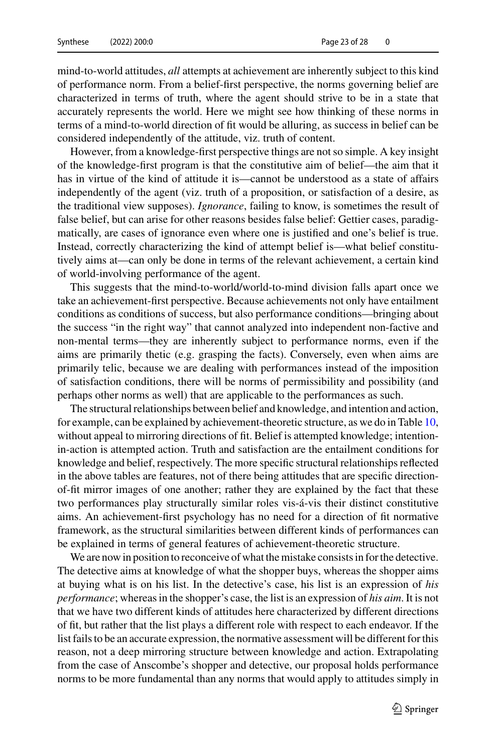mind-to-world attitudes, *all* attempts at achievement are inherently subject to this kind of performance norm. From a belief-first perspective, the norms governing belief are characterized in terms of truth, where the agent should strive to be in a state that accurately represents the world. Here we might see how thinking of these norms in terms of a mind-to-world direction of fit would be alluring, as success in belief can be considered independently of the attitude, viz. truth of content.

However, from a knowledge-first perspective things are not so simple. A key insight of the knowledge-first program is that the constitutive aim of belief—the aim that it has in virtue of the kind of attitude it is—cannot be understood as a state of affairs independently of the agent (viz. truth of a proposition, or satisfaction of a desire, as the traditional view supposes). *Ignorance*, failing to know, is sometimes the result of false belief, but can arise for other reasons besides false belief: Gettier cases, paradigmatically, are cases of ignorance even where one is justified and one's belief is true. Instead, correctly characterizing the kind of attempt belief is—what belief constitutively aims at—can only be done in terms of the relevant achievement, a certain kind of world-involving performance of the agent.

This suggests that the mind-to-world/world-to-mind division falls apart once we take an achievement-first perspective. Because achievements not only have entailment conditions as conditions of success, but also performance conditions—bringing about the success "in the right way" that cannot analyzed into independent non-factive and non-mental terms—they are inherently subject to performance norms, even if the aims are primarily thetic (e.g. grasping the facts). Conversely, even when aims are primarily telic, because we are dealing with performances instead of the imposition of satisfaction conditions, there will be norms of permissibility and possibility (and perhaps other norms as well) that are applicable to the performances as such.

The structural relationships between belief and knowledge, and intention and action, for example, can be explained by achievement-theoretic structure, as we do in Table [10,](#page-18-0) without appeal to mirroring directions of fit. Belief is attempted knowledge; intentionin-action is attempted action. Truth and satisfaction are the entailment conditions for knowledge and belief, respectively. The more specific structural relationships reflected in the above tables are features, not of there being attitudes that are specific directionof-fit mirror images of one another; rather they are explained by the fact that these two performances play structurally similar roles vis-á-vis their distinct constitutive aims. An achievement-first psychology has no need for a direction of fit normative framework, as the structural similarities between different kinds of performances can be explained in terms of general features of achievement-theoretic structure.

We are now in position to reconceive of what the mistake consists in for the detective. The detective aims at knowledge of what the shopper buys, whereas the shopper aims at buying what is on his list. In the detective's case, his list is an expression of *his performance*; whereas in the shopper's case, the list is an expression of *his aim*. It is not that we have two different kinds of attitudes here characterized by different directions of fit, but rather that the list plays a different role with respect to each endeavor. If the list fails to be an accurate expression, the normative assessment will be different for this reason, not a deep mirroring structure between knowledge and action. Extrapolating from the case of Anscombe's shopper and detective, our proposal holds performance norms to be more fundamental than any norms that would apply to attitudes simply in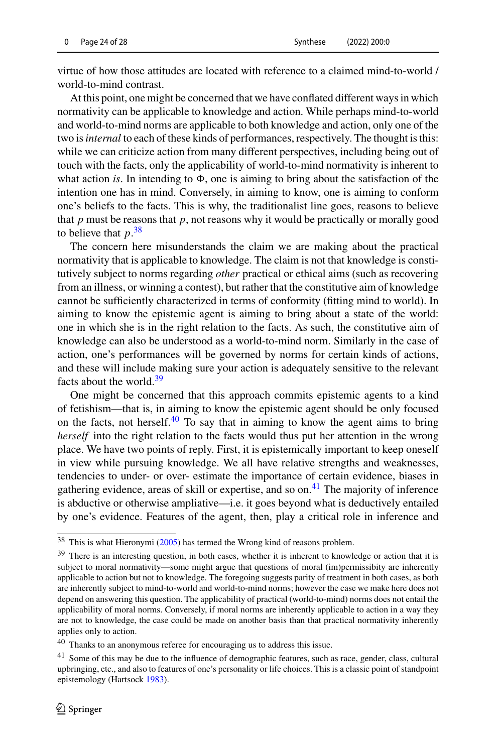virtue of how those attitudes are located with reference to a claimed mind-to-world / world-to-mind contrast.

At this point, one might be concerned that we have conflated different ways in which normativity can be applicable to knowledge and action. While perhaps mind-to-world and world-to-mind norms are applicable to both knowledge and action, only one of the two is*internal* to each of these kinds of performances, respectively. The thought is this: while we can criticize action from many different perspectives, including being out of touch with the facts, only the applicability of world-to-mind normativity is inherent to what action *is*. In intending to  $\Phi$ , one is aiming to bring about the satisfaction of the intention one has in mind. Conversely, in aiming to know, one is aiming to conform one's beliefs to the facts. This is why, the traditionalist line goes, reasons to believe that  $p$  must be reasons that  $p$ , not reasons why it would be practically or morally good to believe that  $p^{38}$  $p^{38}$  $p^{38}$ 

The concern here misunderstands the claim we are making about the practical normativity that is applicable to knowledge. The claim is not that knowledge is constitutively subject to norms regarding *other* practical or ethical aims (such as recovering from an illness, or winning a contest), but rather that the constitutive aim of knowledge cannot be sufficiently characterized in terms of conformity (fitting mind to world). In aiming to know the epistemic agent is aiming to bring about a state of the world: one in which she is in the right relation to the facts. As such, the constitutive aim of knowledge can also be understood as a world-to-mind norm. Similarly in the case of action, one's performances will be governed by norms for certain kinds of actions, and these will include making sure your action is adequately sensitive to the relevant facts about the world. $39$ 

One might be concerned that this approach commits epistemic agents to a kind of fetishism—that is, in aiming to know the epistemic agent should be only focused on the facts, not herself. $40$  To say that in aiming to know the agent aims to bring *herself* into the right relation to the facts would thus put her attention in the wrong place. We have two points of reply. First, it is epistemically important to keep oneself in view while pursuing knowledge. We all have relative strengths and weaknesses, tendencies to under- or over- estimate the importance of certain evidence, biases in gathering evidence, areas of skill or expertise, and so on.<sup>[41](#page-23-3)</sup> The majority of inference is abductive or otherwise ampliative—i.e. it goes beyond what is deductively entailed by one's evidence. Features of the agent, then, play a critical role in inference and

<span id="page-23-2"></span><sup>40</sup> Thanks to an anonymous referee for encouraging us to address this issue.

<span id="page-23-0"></span><sup>38</sup> This is what Hieronym[i](#page-26-21) [\(2005](#page-26-21)) has termed the Wrong kind of reasons problem.

<span id="page-23-1"></span><sup>&</sup>lt;sup>39</sup> There is an interesting question, in both cases, whether it is inherent to knowledge or action that it is subject to moral normativity—some might argue that questions of moral (im)permissibity are inherently applicable to action but not to knowledge. The foregoing suggests parity of treatment in both cases, as both are inherently subject to mind-to-world and world-to-mind norms; however the case we make here does not depend on answering this question. The applicability of practical (world-to-mind) norms does not entail the applicability of moral norms. Conversely, if moral norms are inherently applicable to action in a way they are not to knowledge, the case could be made on another basis than that practical normativity inherently applies only to action.

<span id="page-23-3"></span><sup>&</sup>lt;sup>41</sup> Some of this may be due to the influence of demographic features, such as race, gender, class, cultural upbringing, etc., and also to features of one's personality or life choices. This is a classic point of standpoint epistemology (Hartsoc[k](#page-26-22) [1983](#page-26-22)).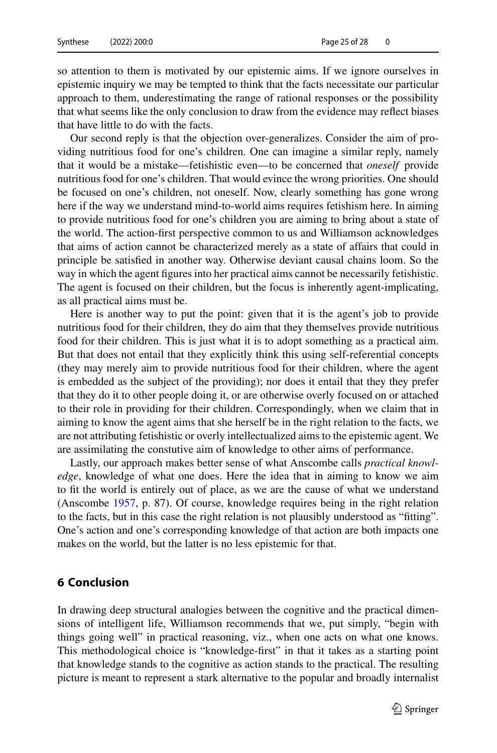so attention to them is motivated by our epistemic aims. If we ignore ourselves in epistemic inquiry we may be tempted to think that the facts necessitate our particular approach to them, underestimating the range of rational responses or the possibility that what seems like the only conclusion to draw from the evidence may reflect biases that have little to do with the facts.

Our second reply is that the objection over-generalizes. Consider the aim of providing nutritious food for one's children. One can imagine a similar reply, namely that it would be a mistake—fetishistic even—to be concerned that *oneself* provide nutritious food for one's children. That would evince the wrong priorities. One should be focused on one's children, not oneself. Now, clearly something has gone wrong here if the way we understand mind-to-world aims requires fetishism here. In aiming to provide nutritious food for one's children you are aiming to bring about a state of the world. The action-first perspective common to us and Williamson acknowledges that aims of action cannot be characterized merely as a state of affairs that could in principle be satisfied in another way. Otherwise deviant causal chains loom. So the way in which the agent figures into her practical aims cannot be necessarily fetishistic. The agent is focused on their children, but the focus is inherently agent-implicating, as all practical aims must be.

Here is another way to put the point: given that it is the agent's job to provide nutritious food for their children, they do aim that they themselves provide nutritious food for their children. This is just what it is to adopt something as a practical aim. But that does not entail that they explicitly think this using self-referential concepts (they may merely aim to provide nutritious food for their children, where the agent is embedded as the subject of the providing); nor does it entail that they they prefer that they do it to other people doing it, or are otherwise overly focused on or attached to their role in providing for their children. Correspondingly, when we claim that in aiming to know the agent aims that she herself be in the right relation to the facts, we are not attributing fetishistic or overly intellectualized aims to the epistemic agent. We are assimilating the constutive aim of knowledge to other aims of performance.

Lastly, our approach makes better sense of what Anscombe calls *practical knowledge*, knowledge of what one does. Here the idea that in aiming to know we aim to fit the world is entirely out of place, as we are the cause of what we understand (Anscomb[e](#page-26-0) [1957,](#page-26-0) p. 87). Of course, knowledge requires being in the right relation to the facts, but in this case the right relation is not plausibly understood as "fitting". One's action and one's corresponding knowledge of that action are both impacts one makes on the world, but the latter is no less epistemic for that.

### <span id="page-24-0"></span>**6 Conclusion**

In drawing deep structural analogies between the cognitive and the practical dimensions of intelligent life, Williamson recommends that we, put simply, "begin with things going well" in practical reasoning, viz., when one acts on what one knows. This methodological choice is "knowledge-first" in that it takes as a starting point that knowledge stands to the cognitive as action stands to the practical. The resulting picture is meant to represent a stark alternative to the popular and broadly internalist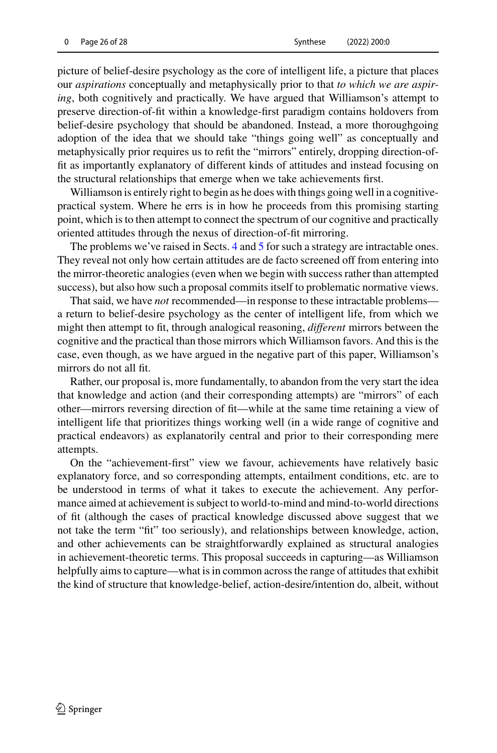picture of belief-desire psychology as the core of intelligent life, a picture that places our *aspirations* conceptually and metaphysically prior to that *to which we are aspiring*, both cognitively and practically. We have argued that Williamson's attempt to preserve direction-of-fit within a knowledge-first paradigm contains holdovers from belief-desire psychology that should be abandoned. Instead, a more thoroughgoing adoption of the idea that we should take "things going well" as conceptually and metaphysically prior requires us to refit the "mirrors" entirely, dropping direction-offit as importantly explanatory of different kinds of attitudes and instead focusing on the structural relationships that emerge when we take achievements first.

Williamson is entirely right to begin as he does with things going well in a cognitivepractical system. Where he errs is in how he proceeds from this promising starting point, which is to then attempt to connect the spectrum of our cognitive and practically oriented attitudes through the nexus of direction-of-fit mirroring.

The problems we've raised in Sects. [4](#page-8-0) and [5](#page-19-0) for such a strategy are intractable ones. They reveal not only how certain attitudes are de facto screened off from entering into the mirror-theoretic analogies (even when we begin with success rather than attempted success), but also how such a proposal commits itself to problematic normative views.

That said, we have *not* recommended—in response to these intractable problems a return to belief-desire psychology as the center of intelligent life, from which we might then attempt to fit, through analogical reasoning, *different* mirrors between the cognitive and the practical than those mirrors which Williamson favors. And this is the case, even though, as we have argued in the negative part of this paper, Williamson's mirrors do not all fit.

Rather, our proposal is, more fundamentally, to abandon from the very start the idea that knowledge and action (and their corresponding attempts) are "mirrors" of each other—mirrors reversing direction of fit—while at the same time retaining a view of intelligent life that prioritizes things working well (in a wide range of cognitive and practical endeavors) as explanatorily central and prior to their corresponding mere attempts.

On the "achievement-first" view we favour, achievements have relatively basic explanatory force, and so corresponding attempts, entailment conditions, etc. are to be understood in terms of what it takes to execute the achievement. Any performance aimed at achievement is subject to world-to-mind and mind-to-world directions of fit (although the cases of practical knowledge discussed above suggest that we not take the term "fit" too seriously), and relationships between knowledge, action, and other achievements can be straightforwardly explained as structural analogies in achievement-theoretic terms. This proposal succeeds in capturing—as Williamson helpfully aims to capture—what is in common across the range of attitudes that exhibit the kind of structure that knowledge-belief, action-desire/intention do, albeit, without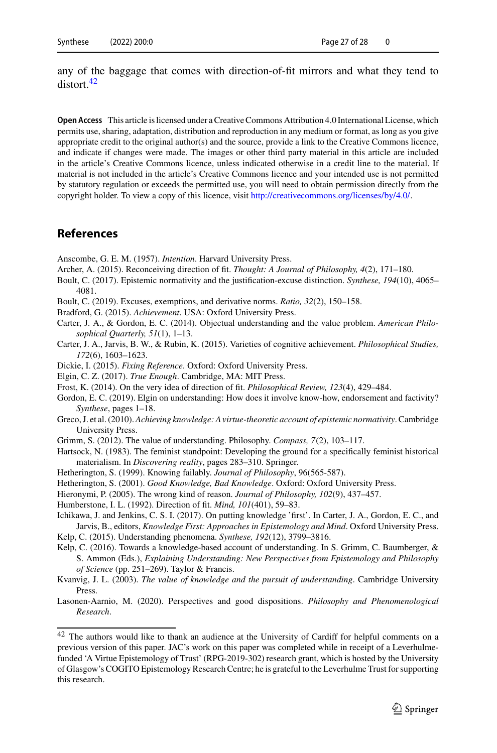any of the baggage that comes with direction-of-fit mirrors and what they tend to distort<sup>[42](#page-26-23)</sup>

**Open Access** This article is licensed under a Creative Commons Attribution 4.0 International License, which permits use, sharing, adaptation, distribution and reproduction in any medium or format, as long as you give appropriate credit to the original author(s) and the source, provide a link to the Creative Commons licence, and indicate if changes were made. The images or other third party material in this article are included in the article's Creative Commons licence, unless indicated otherwise in a credit line to the material. If material is not included in the article's Creative Commons licence and your intended use is not permitted by statutory regulation or exceeds the permitted use, you will need to obtain permission directly from the copyright holder. To view a copy of this licence, visit [http://creativecommons.org/licenses/by/4.0/.](http://creativecommons.org/licenses/by/4.0/)

## **References**

<span id="page-26-0"></span>Anscombe, G. E. M. (1957). *Intention*. Harvard University Press.

- <span id="page-26-4"></span>Archer, A. (2015). Reconceiving direction of fit. *Thought: A Journal of Philosophy, 4*(2), 171–180.
- <span id="page-26-8"></span>Boult, C. (2017). Epistemic normativity and the justification-excuse distinction. *Synthese, 194*(10), 4065– 4081.
- <span id="page-26-9"></span>Boult, C. (2019). Excuses, exemptions, and derivative norms. *Ratio, 32*(2), 150–158.
- <span id="page-26-14"></span>Bradford, G. (2015). *Achievement*. USA: Oxford University Press.
- <span id="page-26-19"></span>Carter, J. A., & Gordon, E. C. (2014). Objectual understanding and the value problem. *American Philosophical Quarterly, 51*(1), 1–13.
- <span id="page-26-12"></span>Carter, J. A., Jarvis, B. W., & Rubin, K. (2015). Varieties of cognitive achievement. *Philosophical Studies, 172*(6), 1603–1623.
- <span id="page-26-18"></span>Dickie, I. (2015). *Fixing Reference*. Oxford: Oxford University Press.
- <span id="page-26-7"></span>Elgin, C. Z. (2017). *True Enough*. Cambridge, MA: MIT Press.
- <span id="page-26-2"></span>Frost, K. (2014). On the very idea of direction of fit. *Philosophical Review, 123*(4), 429–484.
- <span id="page-26-17"></span>Gordon, E. C. (2019). Elgin on understanding: How does it involve know-how, endorsement and factivity? *Synthese*, pages 1–18.
- <span id="page-26-13"></span>Greco, J. et al. (2010). *Achieving knowledge: A virtue-theoretic account of epistemic normativity*. Cambridge University Press.
- <span id="page-26-11"></span>Grimm, S. (2012). The value of understanding. Philosophy. *Compass, 7*(2), 103–117.
- <span id="page-26-22"></span>Hartsock, N. (1983). The feminist standpoint: Developing the ground for a specifically feminist historical materialism. In *Discovering reality*, pages 283–310. Springer.
- <span id="page-26-15"></span>Hetherington, S. (1999). Knowing failably. *Journal of Philosophy*, 96(565-587).
- <span id="page-26-16"></span>Hetherington, S. (2001). *Good Knowledge, Bad Knowledge*. Oxford: Oxford University Press.
- <span id="page-26-21"></span>Hieronymi, P. (2005). The wrong kind of reason. *Journal of Philosophy, 102*(9), 437–457.
- <span id="page-26-1"></span>Humberstone, I. L. (1992). Direction of fit. *Mind, 101*(401), 59–83.
- <span id="page-26-20"></span>Ichikawa, J. and Jenkins, C. S. I. (2017). On putting knowledge 'first'. In Carter, J. A., Gordon, E. C., and Jarvis, B., editors, *Knowledge First: Approaches in Epistemology and Mind*. Oxford University Press.
- <span id="page-26-5"></span>Kelp, C. (2015). Understanding phenomena. *Synthese, 192*(12), 3799–3816.
- <span id="page-26-6"></span>Kelp, C. (2016). Towards a knowledge-based account of understanding. In S. Grimm, C. Baumberger, & S. Ammon (Eds.), *Explaining Understanding: New Perspectives from Epistemology and Philosophy of Science* (pp. 251–269). Taylor & Francis.
- <span id="page-26-3"></span>Kvanvig, J. L. (2003). *The value of knowledge and the pursuit of understanding*. Cambridge University Press.
- <span id="page-26-10"></span>Lasonen-Aarnio, M. (2020). Perspectives and good dispositions. *Philosophy and Phenomenological Research*.

<span id="page-26-23"></span> $42$  The authors would like to thank an audience at the University of Cardiff for helpful comments on a previous version of this paper. JAC's work on this paper was completed while in receipt of a Leverhulmefunded 'A Virtue Epistemology of Trust' (RPG-2019-302) research grant, which is hosted by the University of Glasgow's COGITO Epistemology Research Centre; he is grateful to the Leverhulme Trust for supporting this research.